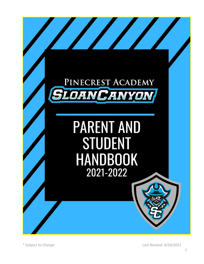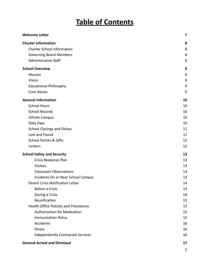# **Table of Contents**

| <b>Welcome Letter</b>                        | 7              |
|----------------------------------------------|----------------|
| <b>Charter Information</b>                   | 8              |
| <b>Charter School Information</b>            | 8              |
| <b>Governing Board Members</b>               | 8              |
| <b>Administrative Staff</b>                  | 8              |
| <b>School Overview</b>                       | 9              |
| Mission                                      | 9              |
| Vision                                       | 9              |
| <b>Educational Philosophy</b>                | 9              |
| <b>Core Values</b>                           | 9              |
| <b>General Information</b>                   | 10             |
| <b>School Hours</b>                          | 10             |
| <b>School Records</b>                        | 10             |
| Infinite Campus                              | 10             |
| Data Days                                    | 10             |
| <b>School Closings and Delays</b>            | 11             |
| Lost and Found                               | 11             |
| <b>School Parties &amp; Gifts</b>            | 12             |
| Lockers                                      | 12             |
| <b>School Safety and Security</b>            | 13             |
| Crisis Response Plan                         | 13             |
| <b>Visitors</b>                              | 13             |
| <b>Classroom Observations</b>                | 13             |
| Incidents On or Near School Campus           | 13             |
| <b>Parent Crisis Notification Letter</b>     | 14             |
| Before a Crisis                              | 14             |
| During a Crisis                              | 14             |
| Reunification                                | 15             |
| <b>Health Office Policies and Procedures</b> | 15             |
| <b>Authorization for Medication</b>          | 15             |
| <b>Immunization Policy</b>                   | 15             |
| Accidents                                    | 16             |
| Illness                                      | 16             |
| <b>Independently Contracted Services</b>     | 16             |
| <b>General Arrival and Dismissal</b>         | 17             |
|                                              | $\overline{2}$ |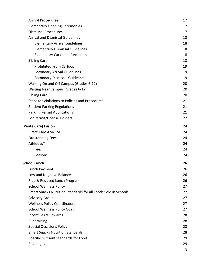| <b>Arrival Procedures</b>                                      | 17 |
|----------------------------------------------------------------|----|
| <b>Elementary Opening Ceremonies</b>                           | 17 |
| <b>Dismissal Procedures</b>                                    | 17 |
| <b>Arrival and Dismissal Guidelines</b>                        | 18 |
| <b>Elementary Arrival Guidelines</b>                           | 18 |
| <b>Elementary Dismissal Guidelines</b>                         | 18 |
| <b>Elementary Carloop Information</b>                          | 18 |
| <b>Sibling Care</b>                                            | 18 |
| <b>Prohibited From Carloop</b>                                 | 19 |
| <b>Secondary Arrival Guidelines</b>                            | 19 |
| <b>Secondary Dismissal Guidelines</b>                          | 19 |
| Walking On and Off Campus (Grades 6-12)                        | 20 |
| <b>Waiting Near Campus (Grades 6-12)</b>                       | 20 |
| <b>Sibling Care</b>                                            | 20 |
| Steps for Violations to Policies and Procedures                | 21 |
| <b>Student Parking Regulations</b>                             | 21 |
| <b>Parking Permit Applications</b>                             | 21 |
| For Permit/License Holders:                                    | 22 |
| (Pirate Care) Fusion                                           | 24 |
| Pirate Care AM/PM                                              | 24 |
| <b>Outstanding Fees</b>                                        | 24 |
| Athletics*                                                     | 24 |
| Fees                                                           | 24 |
| Seasons                                                        | 24 |
| <b>School Lunch</b>                                            | 26 |
| Lunch Payment                                                  | 26 |
| Low and Negative Balances                                      | 26 |
| Free & Reduced Lunch Program                                   | 26 |
| <b>School Wellness Policy</b>                                  | 27 |
| Smart Snacks Nutrition Standards for all Foods Sold in Schools | 27 |
| <b>Advisory Group</b>                                          | 27 |
| <b>Wellness Policy Coordinators</b>                            | 27 |
| <b>School Wellness Policy Goals</b>                            | 27 |
| Incentives & Rewards                                           | 28 |
| Fundraising                                                    | 28 |
| <b>Special Occasions Policy</b>                                | 28 |
| <b>Smart Snacks Nutrition Standards</b>                        | 28 |
| Specific Nutrient Standards for Food                           | 29 |
| <b>Beverages</b>                                               | 29 |
|                                                                | 3  |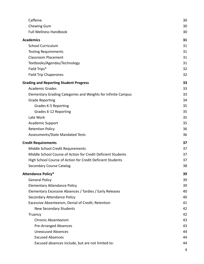| Caffeine                                                      | 30 |
|---------------------------------------------------------------|----|
| Chewing Gum                                                   | 30 |
| <b>Full Wellness Handbook</b>                                 | 30 |
| <b>Academics</b>                                              | 31 |
| <b>School Curriculum</b>                                      | 31 |
| <b>Testing Requirements</b>                                   | 31 |
| <b>Classroom Placement</b>                                    | 31 |
| Textbooks/Agendas/Technology                                  | 31 |
| Field Trips*                                                  | 32 |
| <b>Field Trip Chaperones</b>                                  | 32 |
| <b>Grading and Reporting Student Progress</b>                 | 33 |
| <b>Academic Grades</b>                                        | 33 |
| Elementary Grading Categories and Weights for Infinite Campus | 33 |
| <b>Grade Reporting</b>                                        | 34 |
| Grades K-5 Reporting                                          | 35 |
| Grades 6-12 Reporting                                         | 35 |
| Late Work                                                     | 35 |
| <b>Academic Support</b>                                       | 35 |
| <b>Retention Policy</b>                                       | 36 |
| Assessments/State Mandated Tests                              | 36 |
| <b>Credit Requirements</b>                                    | 37 |
| Middle School Credit Requirements                             | 37 |
| Middle School Course of Action for Credit Deficient Students  | 37 |
| High School Course of Action for Credit Deficient Students    | 37 |
| <b>Secondary Course Catalog</b>                               | 38 |
| <b>Attendance Policy*</b>                                     | 39 |
| <b>General Policy</b>                                         | 39 |
| <b>Elementary Attendance Policy</b>                           | 39 |
| Elementary Excessive Absences / Tardies / Early Releases      | 40 |
| Secondary Attendance Policy                                   | 40 |
| Excessive Absenteeism, Denial of Credit; Retention            | 41 |
| <b>New Secondary Students</b>                                 | 42 |
| Truancy                                                       | 42 |
| <b>Chronic Absenteeism</b>                                    | 43 |
| <b>Pre-Arranged Absences</b>                                  | 43 |
| <b>Unexcused Absences</b>                                     | 44 |
| <b>Excused Absences</b>                                       | 44 |
| Excused absences include, but are not limited to:             | 44 |
|                                                               |    |

4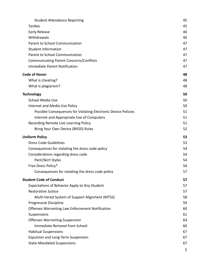| <b>Student Attendance Reporting</b>                            | 45 |
|----------------------------------------------------------------|----|
| <b>Tardies</b>                                                 | 45 |
| Early Release                                                  | 46 |
| Withdrawals                                                    | 46 |
| Parent to School Communication                                 | 47 |
| <b>Student Information</b>                                     | 47 |
| Parent to School Communication                                 | 47 |
| <b>Communicating Parent Concerns/Conflicts</b>                 | 47 |
| <b>Immediate Parent Notification</b>                           | 47 |
| <b>Code of Honor</b>                                           | 48 |
| What is cheating?                                              | 48 |
| What is plagiarism?                                            | 48 |
| <b>Technology</b>                                              | 50 |
| School Media Use                                               | 50 |
| Internet and Media Use Policy                                  | 50 |
| Possible Consequences for Violating Electronic Device Policies | 51 |
| Internet and Appropriate Use of Computers                      | 51 |
| Recording Remote Live Learning Policy                          | 51 |
| Bring Your Own Device (BYOD) Rules                             | 52 |
|                                                                | 53 |
| <b>Uniform Policy</b>                                          |    |
| <b>Dress Code Guidelines</b>                                   | 53 |
| Consequences for violating the dress code policy               | 54 |
| Considerations regarding dress code                            | 54 |
| Pant/Skirt Styles                                              | 54 |
| Free Dress Policy*                                             | 56 |
| Consequences for violating the dress code policy               | 57 |
| <b>Student Code of Conduct</b>                                 | 57 |
| Expectations of Behavior Apply to Any Student                  | 57 |
| <b>Restorative Justice</b>                                     | 57 |
| Multi-tiered System of Support Alignment (MTSS)                | 58 |
| Progressive Discipline                                         | 59 |
| <b>Offenses Warranting Law Enforcement Notification</b>        | 60 |
| Suspensions                                                    | 61 |
| <b>Offenses Warranting Suspension</b>                          | 64 |
| Immediate Removal from School                                  | 66 |
| <b>Habitual Suspensions</b>                                    | 67 |
| <b>Expulsion and Long-Term Suspension</b>                      | 67 |
| <b>State-Mandated Suspensions</b>                              | 67 |
|                                                                | 5  |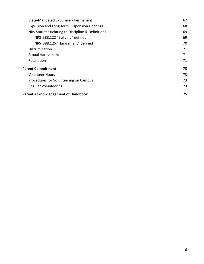| State-Mandated Expulsion - Permanent              | 67 |
|---------------------------------------------------|----|
| Expulsion and Long-term Suspension Hearings       | 68 |
| NRS Statutes Relating to Discipline & Definitions | 69 |
| NRS 388.122 "Bullying" defined                    | 69 |
| NRS 388.125 "Harassment" defined                  | 70 |
| <b>Discrimination</b>                             | 71 |
| Sexual Harassment                                 | 71 |
| Retaliation                                       | 71 |
| <b>Parent Commitment</b>                          | 73 |
| <b>Volunteer Hours</b>                            | 73 |
| Procedures for Volunteering on Campus             | 73 |
| <b>Regular Volunteering</b>                       | 73 |
| <b>Parent Acknowledgement of Handbook</b>         | 75 |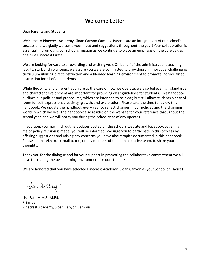# **Welcome Letter**

<span id="page-6-0"></span>Dear Parents and Students,

Welcome to Pinecrest Academy, Sloan Canyon Campus. Parents are an integral part of our school's success and we gladly welcome your input and suggestions throughout the year! Your collaboration is essential in promoting our school's mission as we continue to place an emphasis on the core values of a true Pinecrest Pirate.

We are looking forward to a rewarding and exciting year. On behalf of the administration, teaching faculty, staff, and volunteers, we assure you we are committed to providing an innovative, challenging curriculum utilizing direct instruction and a blended learning environment to promote individualized instruction for all of our students.

While flexibility and differentiation are at the core of how we operate, we also believe high standards and character development are important for providing clear guidelines for students. This handbook outlines our policies and procedures, which are intended to be clear, but still allow students plenty of room for self-expression, creativity, growth, and exploration. Please take the time to review this handbook. We update the handbook every year to reflect changes in our policies and the changing world in which we live. The handbook also resides on the website for your reference throughout the school year, and we will notify you during the school year of any updates.

In addition, you may find routine updates posted on the school's website and Facebook page. If a major policy revision is made, you will be informed. We urge you to participate in this process by offering suggestions and raising any concerns you have about topics documented in this handbook. Please submit electronic mail to me, or any member of the administrative team, to share your thoughts.

Thank you for the dialogue and for your support in promoting the collaborative commitment we all have to creating the best learning environment for our students.

We are honored that you have selected Pinecrest Academy, Sloan Canyon as your School of Choice!

Lisa Satory

Lisa Satory, M.S, M.Ed. Principal Pinecrest Academy, Sloan Canyon Campus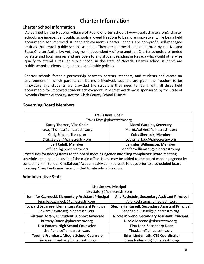# **Charter Information**

#### <span id="page-7-1"></span><span id="page-7-0"></span>**Charter School Information**

As defined by the National Alliance of Public Charter Schools (www.publiccharters.org), charter schools are independent public schools allowed freedom to be more innovative, while being held accountable for improved student achievement. Charter schools are non-profit, self-managed entities that enroll public school students. They are approved and monitored by the Nevada State Charter Authority; yet, they run independently of one another. Charter schools are funded by state and local monies and are open to any student residing in Nevada who would otherwise qualify to attend a regular public school in the state of Nevada. Charter school students are public school students, subject to all applicable policies.

Charter schools foster a partnership between parents, teachers, and students and create an environment in which parents can be more involved, teachers are given the freedom to be innovative and students are provided the structure they need to learn, with all three held accountable for improved student achievement. Pinecrest Academy is sponsored by the State of Nevada Charter Authority, not the Clark County School District.

#### <span id="page-7-2"></span>**Governing Board Members**

| <b>Travis Keys, Chair</b><br>Travis.Keys@pinecrestnv.org |                                     |  |
|----------------------------------------------------------|-------------------------------------|--|
|                                                          |                                     |  |
| <b>Kacey Thomas, Vice Chair</b>                          | <b>Marni Watkins, Secretary</b>     |  |
| Kacey.Thomas@pinecrestnv.org                             | Marni. Watkins@pinecrestnv.org      |  |
| <b>Craig Seiden, Treasurer</b>                           | <b>Coby Sherlock, Member</b>        |  |
| Craig.Seiden@pinecrestnv.org                             | coby.sherlock@pinecrestnv.org       |  |
| <b>Jeff Cahill, Member</b>                               | Jennifer Williamson, Member         |  |
| Jeff.Cahill@pinecrestnv.org                              | jennifer.williamson@pinecrestnv.org |  |

Procedures for adding items to the board meeting agenda and filing complaints: Board meeting schedules are posted outside of the main office. Items may be added to the board meeting agenda by contacting Kim Ballou (Kim.Ballou@AcademicaNV.com) at least 10 days prior to a scheduled board meeting. Complaints may be submitted to site administration.

#### <span id="page-7-3"></span>**Administrative Staff**

| <b>Lisa Satory, Principal</b>                          |                                                         |  |
|--------------------------------------------------------|---------------------------------------------------------|--|
|                                                        | Lisa.Satory@pinecrestnv.org                             |  |
| Jennifer Czarnecki, Elementary Assistant Principal     | Alia Rothstein, Secondary Assistant Principal           |  |
| Jennifer.Czarnecki@pinecrestnv.org                     | Alia.Rothstein@pinecrestnv.org                          |  |
| <b>Edward Savarese, Elementary Assistant Principal</b> | <b>Stephanie Russell, Secondary Assistant Principal</b> |  |
| Edward.Savarese@pinecrestnv.org                        | Stephanie.Russell@pinecrestnv.org                       |  |
| <b>Brittany Doran, ES Student Support Advocate</b>     | Nicole Moreno, Secondary Assistant Principal            |  |
| Brittany.Doran@pinecrestnv.org                         | Nicole.Moreno@pinecrestnv.org                           |  |
| Lisa Panaro, High School Counselor                     | <b>Tina Lahr, Secondary Dean</b>                        |  |
| Lisa.Panaro@pinecrestnv.org                            | Tina.Lahr@pinecrestnv.org                               |  |
| Yesenia Fromhart, Middle School Counselor              | <b>Brian Lindemuth, CTE Coordinator</b>                 |  |
| Yesenia.Fromhart@pinecrestnv.org                       | brian.lindemuth@pinecrestnv.org                         |  |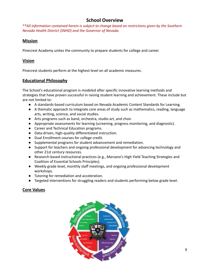# **School Overview**

<span id="page-8-0"></span>*\*\*All information contained herein is subject to change based on restrictions given by the Southern Nevada Health District (SNHD) and the Governor of Nevada.*

#### <span id="page-8-1"></span>**Mission**

Pinecrest Academy unites the community to prepare students for college and career.

#### <span id="page-8-2"></span>**Vision**

Pinecrest students perform at the highest level on all academic measures.

#### <span id="page-8-3"></span>**Educational Philosophy**

The School's educational program is modeled after specific innovative learning methods and strategies that have proven successful in raising student learning and achievement. These include but are not limited to:

- A standards-based curriculum based on Nevada Academic Content Standards for Learning.
- A thematic approach to integrate core areas of study such as mathematics, reading, language arts, writing, science, and social studies.
- Arts programs such as band, orchestra, studio art, and choir.
- Appropriate assessments for learning (screening, progress monitoring, and diagnostic).
- Career and Technical Education programs.
- Data-driven, high-quality differentiated instruction.
- Dual Enrollment courses for college credit.
- Supplemental programs for student advancement and remediation.
- Support for teachers and ongoing professional development for advancing technology and other 21st century resources.
- Research-based instructional practices (e.g., Marzano's High Yield Teaching Strategies and Coalition of Essential Schools Principles).
- Weekly grade level, monthly staff meetings, and ongoing professional development workshops.
- Tutoring for remediation and acceleration.
- Targeted interventions for struggling readers and students performing below grade level.

# <span id="page-8-4"></span>**Core Values**

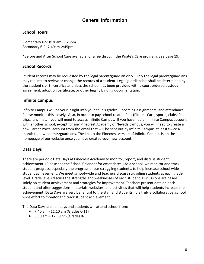# **General Information**

#### <span id="page-9-1"></span><span id="page-9-0"></span>**School Hours**

Elementary K-5: 8:30am- 3:25pm Secondary 6-9: 7:40am-2:45pm

\*Before and After School Care available for a fee through the Pirate's Care program. See page 19.

#### <span id="page-9-2"></span>**School Records**

Student records may be requested by the legal parent/guardian only. Only the legal parent/guardians may request to review or change the records of a student. Legal guardianship shall be determined by the student's birth certificate, unless the school has been provided with a court ordered custody agreement, adoption certificate, or other legally binding documentation.

#### <span id="page-9-3"></span>**Infinite Campus**

Infinite Campus will be your insight into your child's grades, upcoming assignments, and attendance. Please monitor this closely. Also, in order to pay school related fees (Pirate's Care, sports, clubs, field trips, lunch, etc.) you will need to access Infinite Campus. If you have had an Infinite Campus account with another school, except for any Pinecrest Academy of Nevada campus, you will need to create a new Parent Portal account from the email that will be sent out by Infinite Campus at least twice a month to new parents/guardians. The link to the Pinecrest version of Infinite Campus is on the homepage of our website once you have created your new account.

#### <span id="page-9-4"></span>**Data Days**

There are periodic Data Days at Pinecrest Academy to monitor, report, and discuss student achievement. (Please see the School Calendar for exact dates.) As a school, we monitor and track student progress, especially the progress of our struggling students, to help increase school wide student achievement. We meet school-wide and teachers discuss struggling students at each grade level. Grade levels discuss the strengths and weaknesses of each student. Discussions are based solely on student achievement and strategies for improvement. Teachers present data on each student and offer suggestions, materials, websites, and activities that will help students increase their achievement. Data Days are very beneficial to the staff and students. It is truly a collaborative, school wide effort to monitor and track student achievement.

The Data Days are half days and students will attend school from:

- 7:40 am 11:10 am (Grades 6-11)
- 8:30 am  $-12:00$  pm (Grades K-5)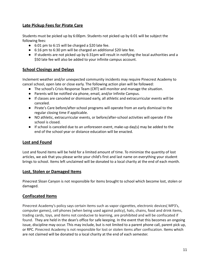# **Late Pickup Fees for Pirate Care**

Students must be picked up by 6:00pm. Students not picked up by 6:01 will be subject the following fees:

- $\bullet$  6:01 pm to 6:15 will be charged a \$20 late fee.
- 6:16 pm to 6:30 pm will be charged an additional \$20 late fee.
- If students are not picked up by 6:31pm will result in notifying the local authorities and a \$50 late fee will also be added to your infinite campus account.

#### <span id="page-10-0"></span>**School Closings and Delays**

Inclement weather and/or unexpected community incidents may require Pinecrest Academy to cancel school, open late or close early. The following action plan will be followed:

- The school's Crisis Response Team (CRT) will monitor and manage the situation.
- Parents will be notified via phone, email, and/or Infinite Campus.
- If classes are canceled or dismissed early, all athletic and extracurricular events will be canceled.
- Pirate's Care before/after-school programs will operate from an early dismissal to the regular closing time if applicable.
- NO athletic, extracurricular events, or before/after-school activities will operate if the school is closed.
- $\bullet$  If school is canceled due to an unforeseen event, make-up day(s) may be added to the end of the school year or distance education will be enacted.

# <span id="page-10-1"></span>**Lost and Found**

Lost and found items will be held for a limited amount of time. To minimize the quantity of lost articles, we ask that you please write your child's first and last name on everything your student brings to school. Items left unclaimed will be donated to a local charity at the end of each month.

#### **Lost, Stolen or Damaged Items**

Pinecrest Sloan Canyon is not responsible for items brought to school which become lost, stolen or damaged.

#### **Confiscated Items**

Pinecrest Academy's policy says certain items such as vapor cigarettes, electronic devices( MP3's, computer games), cell phones (when being used against policy), hats, chains, food and drink items, trading cards, toys, and items not conducive to learning, are prohibited and will be confiscated if found. They are held in the dean's office for safe keeping. In the event that this becomes an ongoing issue, discipline may occur. This may include, but is not limited to a parent phone call, parent pick up, or RPC. Pinecrest Academy is not responsible for lost or stolen items after confiscation. Items which are not claimed will be donated to a local charity at the end of each semester.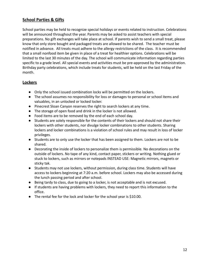### <span id="page-11-0"></span>**School Parties & Gifts**

School parties may be held to recognize special holidays or events related to instruction. Celebrations will be announced throughout the year. Parents may be asked to assist teachers with special preparations. No gift exchanges will take place at school. If parents wish to send a small treat, please know that only store bought and packaged treats are allowed to be shared. The teacher must be notified in advance. All treats must adhere to the allergy restrictions of the class. It is recommended that a small nonfood item be given in place of a treat for healthier options. Celebrations will be limited to the last 30 minutes of the day. The school will communicate information regarding parties specific to a grade level. All special events and activities must be pre-approved by the administration. Birthday party celebrations, which include treats for students, will be held on the last Friday of the month.

#### <span id="page-11-1"></span>**Lockers**

- Only the school issued combination locks will be permitted on the lockers.
- The school assumes no responsibility for loss or damages to personal or school items and valuables, in an unlocked or locked locker.
- Pinecrest Sloan Canyon reserves the right to search lockers at any time.
- The storage of open food and drink in the locker is not allowed.
- Food items are to be removed by the end of each school day.
- Students are solely responsible for the contents of their lockers and should not share their lockers with other students, nor divulge locker combinations to other students. Sharing lockers and locker combinations is a violation of school rules and may result in loss of locker privileges.
- Students are to only use the locker that has been assigned to them. Lockers are not to be shared.
- Decorating the inside of lockers to personalize them is permissible. No decorations on the outside of lockers. No tape of any kind, contact paper, stickers or writing. Nothing glued or stuck to lockers, such as mirrors or notepads INSTEAD USE: Magnetic mirrors, magnets or sticky tak.
- Students may not use lockers, without permission, during class time. Students will have access to lockers beginning at 7:20 a.m. before school. Lockers may also be accessed during the lunch passing period and after school.
- Being tardy to class, due to going to a locker, is not acceptable and is not excused.
- If students are having problems with lockers, they need to report this information to the office.
- The rental fee for the lock and locker for the school year is \$10.00.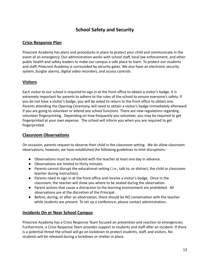# **School Safety and Security**

# <span id="page-12-1"></span><span id="page-12-0"></span>**Crisis Response Plan**

Pinecrest Academy has plans and procedures in place to protect your child and communicate in the event of an emergency. Our administration works with school staff, local law enforcement, and other public health and safety leaders to make our campus a safe place to learn. To protect our students and staff, Pinecrest Academy is surrounded by security gates. We also have an electronic security system, burglar alarms, digital video recorders, and access controls.

#### <span id="page-12-2"></span>**Visitors**

Each visitor to our school is required to sign in at the front office to obtain a visitor's badge. It is extremely important for parents to adhere to the rules of the school to ensure everyone's safety. If you do not have a visitor's badge, you will be asked to return to the front office to obtain one. Parents attending the Opening Ceremony, will need to obtain a visitor's badge immediately afterward if you are going to volunteer or attend any school functions. There are new regulations regarding volunteer fingerprinting. Depending on how frequently you volunteer, you may be required to get fingerprinted at your own expense. The school will inform you when you are required to get fingerprinted.

#### <span id="page-12-3"></span>**Classroom Observations**

On occasion, parents request to observe their child in the classroom setting. We do allow classroom observations; however, we have established the following guidelines to limit disruptions:

- Observations must be scheduled with the teacher at least one day in advance.
- Observations are limited to thirty minutes.
- Parents cannot disrupt the educational setting ( i.e., talk to, or distract, the child or classroom teacher during instruction).
- Parents need to sign in at the front office and receive a visitor's badge. Once in the classroom, the teacher will show you where to be seated during the observation.
- Parent actions that cause a distraction to the learning environment are prohibited. All observations are at the discretion of the Principal.
- Before, during, or after an observation, there should be NO conversation with the teacher while students are present. To set up a conference, please contact administration.

#### <span id="page-12-4"></span>**Incidents On or Near School Campus**

Pinecrest Academy has a Crisis Response Team focused on prevention and reaction to emergencies. Furthermore, a Crisis Response Team provides support to students and staff after an incident. If there is a potential threat the school will go on lockdown to protect students, staff, and visitors. No students will be released during a lockdown or shelter in place.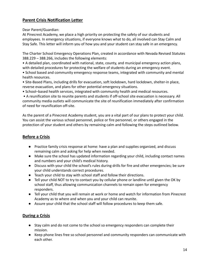# <span id="page-13-0"></span>**Parent Crisis Notification Letter**

Dear Parent/Guardian:

At Pinecrest Academy, we place a high priority on protecting the safety of our students and employees. In emergency situations, if everyone knows what to do, all involved can Stay Calm and Stay Safe. This letter will inform you of how you and your student can stay safe in an emergency.

The Charter School Emergency Operations Plan, created in accordance with Nevada Revised Statutes 388.229 – 388.266, includes the following elements:

• A detailed plan, coordinated with national, state, county, and municipal emergency action plans, with detailed procedures for protecting the welfare of students during an emergency event.

• School based and community emergency response teams, integrated with community and mental health resources.

• Site-Based Plans, including drills for evacuation, soft lockdown, hard lockdown, shelter-in place, reverse evacuation, and plans for other potential emergency situations.

• School–based health services, integrated with community health and medical resources.

• A reunification site to reunite parents and students if off-school site evacuation is necessary. All community media outlets will communicate the site of reunification immediately after confirmation of need for reunification off-site.

As the parent of a Pinecrest Academy student, you are a vital part of our plans to protect your child. You can assist the various school personnel, police or fire personnel, or others engaged in the protection of your student and others by remaining calm and following the steps outlined below.

# <span id="page-13-1"></span>**Before a Crisis**

- Practice family crisis response at home: have a plan and supplies organized, and discuss remaining calm and asking for help when needed.
- Make sure the school has updated information regarding your child, including contact names and numbers and your child's medical history.
- Discuss with your child the school's rules during drills for fire and other emergencies; be sure your child understands correct procedures.
- Teach your child to stay with school staff and follow their directions.
- Tell your child NOT to try to contact you by cellular phone or landline until given the OK by school staff, thus allowing communication channels to remain open for emergency responders.
- Tell your child that you will remain at work or home and watch for information from Pinecrest Academy as to where and when you and your child can reunite.
- Assure your child that the school staff will follow procedures to keep them safe.

# <span id="page-13-2"></span>**During a Crisis**

- Stay calm and do not come to the school so emergency responders can complete their mission.
- Keep phone lines free so school personnel and community responders can communicate with each other.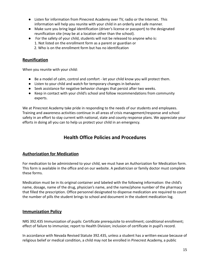- Listen for information from Pinecrest Academy over TV, radio or the Internet. This information will help you reunite with your child in an orderly and safe manner.
- Make sure you bring legal identification (driver's license or passport) to the designated reunification site (may be at a location other than the school).
- For the safety of your child, students will not be released to anyone who is: 1. Not listed on the enrollment form as a parent or guardian or 2. Who is on the enrollment form but has no identification

#### <span id="page-14-0"></span>**Reunification**

When you reunite with your child:

- Be a model of calm, control and comfort let your child know you will protect them.
- Listen to your child and watch for temporary changes in behavior.
- Seek assistance for negative behavior changes that persist after two weeks.
- Keep in contact with your child's school and follow recommendations from community experts.

We at Pinecrest Academy take pride in responding to the needs of our students and employees. Training and awareness activities continue in all areas of crisis management/response and school safety in an effort to stay current with national, state and county response plans. We appreciate your efforts in doing all you can to help us protect your child in an emergency.

# **Health Office Policies and Procedures**

#### <span id="page-14-2"></span><span id="page-14-1"></span>**Authorization for Medication**

For medication to be administered to your child, we must have an Authorization for Medication form. This form is available in the office and on our website. A pediatrician or family doctor must complete these forms.

Medication must be in its original container and labeled with the following information: the child's name, dosage, name of the drug, physician's name, and the name/phone number of the pharmacy that filled the prescription. Office personnel designated to dispense medication are required to count the number of pills the student brings to school and document in the student medication log.

#### <span id="page-14-3"></span>**Immunization Policy**

NRS 392.435 Immunization of pupils: Certificate prerequisite to enrollment; conditional enrollment; effect of failure to immunize; report to Health Division; inclusion of certificate in pupil's record.

In accordance with Nevada Revised Statute 392.435, unless a student has a written excuse because of religious belief or medical condition, a child may not be enrolled in Pinecrest Academy, a public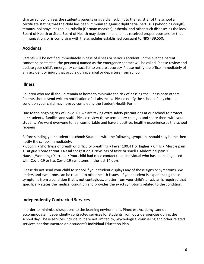charter school, unless the student's parents or guardian submit to the registrar of the school a certificate stating that the child has been immunized against diphtheria, pertussis (whooping cough), tetanus, poliomyelitis (polio), rubella (German measles), rubeola, and other such diseases as the local Board of Health or State Board of Health may determine, and has received proper boosters for that immunization, or is complying with the schedules established pursuant to NRS 439.550.

# <span id="page-15-0"></span>**Accidents**

Parents will be notified immediately in case of illness or serious accident. In the event a parent cannot be contacted, the person(s) named as the emergency contact will be called. Please review and update your child's emergency contact list to ensure accuracy. Please notify the office immediately of any accident or injury that occurs during arrival or departure from school.

#### <span id="page-15-1"></span>**Illness**

Children who are ill should remain at home to minimize the risk of passing the illness onto others. Parents should send written notification of all absences. Please notify the school of any chronic condition your child may have by completing the Student Health Form.

Due to the ongoing risk of Covid-19, we are taking extra safety precautions at our school to protect our students, families and staff. Please review these temporary changes and share them with your student. We want everyone to feel comfortable and have a positive, healthy experience as the school reopens.

Before sending your student to school: Students with the following symptoms should stay home then notify the school immediately:

• Cough • Shortness of breath or difficulty breathing • Fever 100.4 F or higher • Chills • Muscle pain

• Fatigue • Sore throat • Nasal congestion • New loss of taste or smell • Abdominal pain • Nausea/Vomiting/Diarrhea • Your child had close contact to an individual who has been diagnosed with Covid-19 or has Covid-19 symptoms in the last 14 days

Please do not send your child to school if your student displays any of these signs or symptoms. We understand symptoms can be related to other health issues. If your student is experiencing these symptoms from a condition that is not contagious, a letter from your child's physician is required that specifically states the medical condition and provides the exact symptoms related to the condition.

# <span id="page-15-2"></span>**Independently Contracted Services**

In order to minimize disruptions to the learning environment, Pinecrest Academy cannot accommodate independently contracted services for students from outside agencies during the school day. These services include, but are not limited to, psychological counseling and other related services not documented on a student's Individual Education Plan.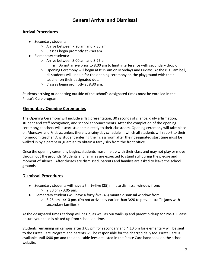# **General Arrival and Dismissal**

#### <span id="page-16-1"></span><span id="page-16-0"></span>**Arrival Procedures**

- Secondary students:
	- Arrive between 7:20 am and 7:35 am.
	- Classes begin promptly at 7:40 am.
- Elementary students:
	- Arrive between 8:00 am and 8:25 am.
		- Do not arrive prior to 8:00 am to limit interference with secondary drop off.
	- Opening Ceremony will begin at 8:15 am on Mondays and Fridays. At the 8:15 am bell, all students will line up for the opening ceremony on the playground with their teacher on their designated dot.
	- Classes begin promptly at 8:30 am.

Students arriving or departing outside of the school's designated times must be enrolled in the Pirate's Care program.

# <span id="page-16-2"></span>**Elementary Opening Ceremonies**

The Opening Ceremony will include a flag presentation, 30 seconds of silence, daily affirmation, student and staff recognition, and school announcements. After the completion of the opening ceremony, teachers will escort students directly to their classroom. Opening ceremony will take place on Mondays and Fridays, unless there is a rainy day schedule in which all students will report to their homeroom teacher. Any student entering their classroom after their designated start time must be walked in by a parent or guardian to obtain a tardy slip from the front office.

Once the opening ceremony begins, students must line up with their class and may not play or move throughout the grounds. Students and families are expected to stand still during the pledge and moment of silence. After classes are dismissed, parents and families are asked to leave the school grounds.

# <span id="page-16-3"></span>**Dismissal Procedures**

- Secondary students will have a thirty-five (35) minute dismissal window from:
	- $\circ$  2:30 pm 3:05 pm.
- Elementary students will have a forty-five (45) minute dismissal window from:
	- $\circ$  3:25 pm 4:10 pm. (Do not arrive any earlier than 3:20 to prevent traffic jams with secondary families.)

At the designated times carloop will begin, as well as our walk-up and parent pick-up for Pre-K. Please ensure your child is picked up from school on time.

Students remaining on campus after 3:05 pm for secondary and 4:10 pm for elementary will be sent to the Pirate Care Program and parents will be responsible for the charged daily fee. Pirate Care is available until 6:00 pm and the applicable fees are listed in the Pirate Care handbook on the school website.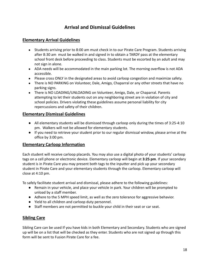# **Arrival and Dismissal Guidelines**

#### <span id="page-17-1"></span><span id="page-17-0"></span>**Elementary Arrival Guidelines**

- Students arriving prior to 8:00 am must check in to our Pirate Care Program. Students arriving after 8:30 am must be walked in and signed in to obtain a TARDY pass at the elementary school front desk before proceeding to class. Students must be escorted by an adult and may not sign in alone.
- ADA needs will be accommodated in the main parking lot. The morning overflow is not ADA accessible.
- Please cross ONLY in the designated areas to avoid carloop congestion and maximize safety.
- There is NO PARKING on Volunteer, Dale, Amigo, Chaparral or any other streets that have no parking signs.
- There is NO LOADING/UNLOADING on Volunteer, Amigo, Dale, or Chaparral. Parents attempting to let their students out on any neighboring street are in violation of city and school policies. Drivers violating these guidelines assume personal liability for city repercussions and safety of their children.

#### <span id="page-17-2"></span>**Elementary Dismissal Guidelines**

- All elementary students will be dismissed through carloop only during the times of 3:25-4:10 pm. Walkers will not be allowed for elementary students.
- If you need to retrieve your student prior to our regular dismissal window, please arrive at the office by 3:00 pm.

# <span id="page-17-3"></span>**Elementary Carloop Information**

Each student will receive carloop placards. You may also use a digital photo of your students' carloop tags on a cell phone or electronic device. Elementary carloop will begin at **3:25 pm**. If your secondary student is in Pirate Care you may present both tags to the inputter and pick up your secondary student in Pirate Care and your elementary students through the carloop. Elementary carloop will close at 4:10 pm.

To safely facilitate student arrival and dismissal, please adhere to the following guidelines:

- Remain in your vehicle, and place your vehicle in park. Your children will be prompted to unload by a staff member.
- Adhere to the 5 MPH speed limit, as well as the zero tolerance for aggressive behavior.
- Yield to all children and carloop duty personnel.
- Staff members are not permitted to buckle your child in their seat or car seat.

# <span id="page-17-4"></span>**Sibling Care**

Sibling Care can be used If you have kids in both Elementary and Secondary. Students who are signed up will be on a list that will be checked as they enter. Students who are not signed up through this form will be sent to Fusion Pirate Care for a fee.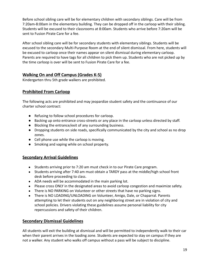Before school sibling care will be for elementary children with secondary siblings. Care will be from 7:20am-8:00am in the elementary building. They can be dropped off in the carloop with their sibling. Students will be excused to their classrooms at 8:00am. Students who arrive before 7:20am will be sent to Fusion Pirate Care for a fee.

After school sibling care will be for secondary students with elementary siblings. Students will be excused to the secondary Multi-Purpose Room at the end of silent dismissal. From here, students will be excused to carloop once their names appear on silent dismissal during elementary carloop. Parents are required to have tags for all children to pick them up. Students who are not picked up by the time carloop is over will be sent to Fusion Pirate Care for a fee.

# **Walking On and Off Campus (Grades K-5)**

Kindergarten thru 5th grade walkers are prohibited.

# **Prohibited From Carloop**

The following acts are prohibited and may jeopardize student safety and the continuance of our charter school contract:

- Refusing to follow school procedures for carloop.
- Backing up onto entrance cross-streets or any place in the carloop unless directed by staff.
- Blocking the entrance/exit of any surrounding business.
- Dropping students on side roads, specifically communicated by the city and school as no drop zones.
- Cell phone use while the carloop is moving.
- Smoking and vaping while on school property.

# <span id="page-18-0"></span>**Secondary Arrival Guidelines**

- Students arriving prior to 7:20 am must check in to our Pirate Care program.
- Students arriving after 7:40 am must obtain a TARDY pass at the middle/high school front desk before proceeding to class.
- ADA needs will be accommodated in the main parking lot.
- Please cross ONLY in the designated areas to avoid carloop congestion and maximize safety.
- There is NO PARKING on Volunteer or other streets that have no parking signs.
- There is NO LOADING/UNLOADING on Volunteer, Amigo, Dale, or Chaparral. Parents attempting to let their students out on any neighboring street are in violation of city and school policies. Drivers violating these guidelines assume personal liability for city repercussions and safety of their children.

# <span id="page-18-1"></span>**Secondary Dismissal Guidelines**

All students will exit the building at dismissal and will be permitted to independently walk to their car when their parent arrives in the loading zone. Students are expected to stay on campus if they are not a walker. Any student who walks off campus without a pass will be subject to discipline.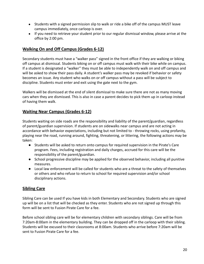- Students with a signed permission slip to walk or ride a bike off of the campus MUST leave campus immediately, once carloop is over.
- If you need to retrieve your student prior to our regular dismissal window, please arrive at the office by 2:00 pm.

# <span id="page-19-0"></span>**Walking On and Off Campus (Grades 6-12)**

Secondary students must have a "walker pass" signed in the front office if they are walking or biking off campus at dismissal. Students biking on or off campus must walk with their bike while on campus. If a student is designated a "walker" they must be able to independently walk on and off campus and will be asked to show their pass daily. A student's walker pass may be revoked if behavior or safety becomes an issue. Any student who walks on or off campus without a pass will be subject to discipline. Students must enter and exit using the gate next to the gym.

Walkers will be dismissed at the end of silent dismissal to make sure there are not as many moving cars when they are dismissed. This is also in case a parent decides to pick them up in carloop instead of having them walk.

# <span id="page-19-1"></span>**Waiting Near Campus (Grades 6-12)**

Students waiting on side roads are the responsibility and liability of the parent/guardian, regardless of parent/guardian supervision. If students are on sidewalks near campus and are not acting in accordance with behavior expectations, including but not limited to - throwing rocks, using profanity, playing near the road, running around, fighting, threatening, or littering, the following actions may be taken:

- Students will be asked to return onto campus for required supervision in the Pirate's Care program. Fees, including registration and daily charges, accrued for this care will be the responsibility of the parent/guardian.
- School progressive discipline may be applied for the observed behavior, including all punitive measures.
- Local law enforcement will be called for students who are a threat to the safety of themselves or others and who refuse to return to school for required supervision and/or school disciplinary actions.

# <span id="page-19-2"></span>**Sibling Care**

Sibling Care can be used If you have kids in both Elementary and Secondary. Students who are signed up will be on a list that will be checked as they enter. Students who are not signed up through this form will be sent to Fusion Pirate Care for a fee.

Before school sibling care will be for elementary children with secondary siblings. Care will be from 7:20am-8:00am in the elementary building. They can be dropped off in the carloop with their sibling. Students will be excused to their classrooms at 8:00am. Students who arrive before 7:20am will be sent to Fusion Pirate Care for a fee.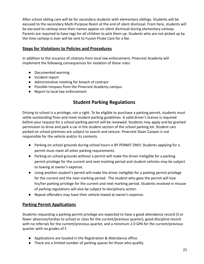After school sibling care will be for secondary students with elementary siblings. Students will be excused to the secondary Multi-Purpose Room at the end of silent dismissal. From here, students will be excused to carloop once their names appear on silent dismissal during elementary carloop. Parents are required to have tags for all children to pick them up. Students who are not picked up by the time carloop is over will be sent to Fusion Pirate Care for a fee.

#### <span id="page-20-0"></span>**Steps for Violations to Policies and Procedures**

In addition to the issuance of citations from local law enforcement, Pinecrest Academy will implement the following consequences for violation of these rules:

- Documented warning
- Incident report
- Administrative meeting for breach of contract
- Possible trespass from the Pinecrest Academy campus
- <span id="page-20-1"></span>● Report to local law enforcement

# **Student Parking Regulations**

Driving to school is a privilege, not a right. To be eligible to purchase a parking permit, students must settle outstanding fines and meet student parking guidelines. A valid driver's license is required before your request for a school parking permit will be reviewed. Students may apply and be granted permission to drive and park a car in the student section of the school parking lot. Student cars parked on school premises are subject to search and seizure. Pinecrest Sloan Canyon is not responsible for the vehicle and/or its contents.

- Parking on school grounds during school hours is BY PERMIT ONLY. Students applying for a permit must meet all other parking requirements.
- Parking on school grounds without a permit will make the driver ineligible for a parking permit privilege for the current and next marking period and student vehicles may be subject to towing at owner's expense.
- Using another student's permit will make the driver ineligible for a parking permit privilege for the current and the next marking period. The student who gave the permit will lose his/her parking privilege for the current and next marking period. Students involved in misuse of parking regulations will also be subject to disciplinary action.
- Repeat offenders may have their vehicle towed at owner's expense.

# <span id="page-20-2"></span>**Parking Permit Applications**

Students requesting a parking permit privilege are expected to have a good attendance record (3 or fewer absences/tardies to school or class for the current/previous quarter), good discipline record with no referrals for the current/previous quarter, and a minimum 2.0 GPA for the current/previous quarter with no grades of F.

- Applications are located in the Registration & Attendance office.
- There are a limited number of parking spaces for those who qualify.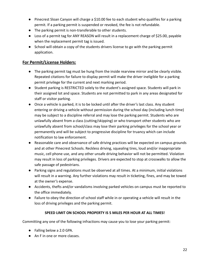- Pinecrest Sloan Canyon will charge a \$10.00 fee to each student who qualifies for a parking permit. If a parking permit is suspended or revoked, the fee is not refundable.
- The parking permit is non-transferable to other students.
- Loss of a permit tag for ANY REASON will result in a replacement charge of \$25.00, payable when the replacement permit tag is issued.
- School will obtain a copy of the students drivers license to go with the parking permit application.

#### <span id="page-21-0"></span>**For Permit/License Holders:**

- The parking permit tag must be hung from the inside rearview mirror and be clearly visible. Repeated citations for failure to display permit will make the driver ineligible for a parking permit privilege for the current and next marking period.
- Student parking is RESTRICTED solely to the student's assigned space. Students will park in their assigned lot and space. Students are not permitted to park in any areas designated for staff or visitor parking.
- Once a vehicle is parked, it is to be locked until after the driver's last class. Any student entering or driving a vehicle without permission during the school day (including lunch time) may be subject to a discipline referral and may lose the parking permit. Students who are unlawfully absent from a class (cutting/skipping) or who transport other students who are unlawfully absent from school/class may lose their parking privileges for the school year or permanently and will be subject to progressive discipline for truancy which can include notification to law enforcement.
- Reasonable care and observance of safe driving practices will be expected on campus grounds and at other Pinecrest Schools. Reckless driving, squealing tires, loud and/or inappropriate music, cell phone use, and any other unsafe driving behavior will not be permitted. Violation may result in loss of parking privileges. Drivers are expected to stop at crosswalks to allow the safe passage of pedestrians.
- Parking signs and regulations must be observed at all times. At a minimum, initial violations will result in a warning. Any further violations may result in ticketing, fines, and may be towed at the owner's expense.
- Accidents, thefts and/or vandalisms involving parked vehicles on campus must be reported to the office immediately.
- Failure to obey the direction of school staff while in or operating a vehicle will result in the loss of driving privileges and the parking permit.

#### **SPEED LIMIT ON SCHOOL PROPERTY IS 5 MILES PER HOUR AT ALL TIMES!**

Committing any one of the following infractions may cause you to lose your parking permit:

- Falling below a 2.0 GPA.
- An F in one or more classes.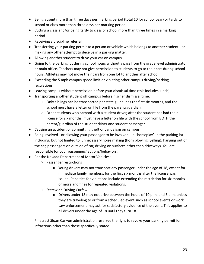- Being absent more than three days per marking period (total 10 for school year) or tardy to school or class more than three days per marking period.
- Cutting a class and/or being tardy to class or school more than three times in a marking period.
- Receiving a discipline referral.
- Transferring your parking permit to a person or vehicle which belongs to another student or making any other attempt to deceive in a parking matter.
- Allowing another student to drive your car on campus.
- Going to the parking lot during school hours without a pass from the grade level administrator or main office. Teachers may not give permission to students to go to their cars during school hours. Athletes may not move their cars from one lot to another after school.
- Exceeding the 5 mph campus speed limit or violating other campus driving/parking regulations.
- Leaving campus without permission before your dismissal time (this includes lunch).
- Transporting another student off campus before his/her dismissal time.
	- $\circ$  Only siblings can be transported per state guidelines the first six months, and the school must have a letter on file from the parent/guardian.
	- $\circ$  Other students who carpool with a student driver, after the student has had their license for six months, must have a letter on file with the school from BOTH the parent/guardian of the student driver and student passenger.
- Causing an accident or committing theft or vandalism on campus.
- Being involved or allowing your passenger to be involved in "horseplay" in the parking lot including, but not limited to, unnecessary noise making (horn blowing, yelling), hanging out of the car, passengers on outside of car, driving on surfaces other than driveways. You are responsible for your passengers' actions/behaviors.
- Per the Nevada Department of Motor Vehicles:
	- Passenger restrictions
		- Young drivers may not transport any passenger under the age of 18, except for immediate family members, for the first six months after the license was issued. Penalties for violations include extending the restriction for six months or more and fines for repeated violations.
	- Statewide Driving Curfew
		- Drivers under 18 may not drive between the hours of 10 p.m. and 5 a.m. unless they are traveling to or from a scheduled event such as school events or work. Law enforcement may ask for satisfactory evidence of the event. This applies to all drivers under the age of 18 until they turn 18.

Pinecrest Sloan Canyon administration reserves the right to revoke your parking permit for infractions other than those specifically stated.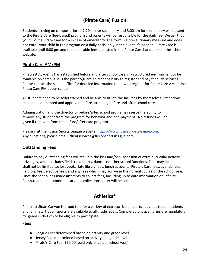# **(Pirate Care) Fusion**

<span id="page-23-0"></span>Students arriving on campus prior to 7:20 am for secondary and 8:00 am for elementary will be sent to the Pirate Care (fee-based) program and parents will be responsible for the daily fee. We ask that you fill out a Pirate Care form in case of emergency. The form is a precautionary measure and does not enroll your child in the program on a daily basis, only in the event it's needed. Pirate Care is available until 6:00 pm and the applicable fees are listed in the Pirate Care handbook on the school website.

#### <span id="page-23-1"></span>**Pirate Care AM/PM**

Pinecrest Academy has established before and after school care in a structured environment to be available on campus. It is the parent/guardian responsibility to register and pay for such services. Please contact the school office for detailed information on how to register for Pirate Care AM and/or Pirate Care PM at our school.

All students need to be toilet trained and be able to utilize the facilities by themselves. Exceptions must be documented and approved before attending before and after school care.

Administration and the director of before/after school programs reserve the ability to remove any student from the program for behavior and non-payment. No refunds will be given if removed from the before/after care program.

Please visit the Fusion Sports League website: <https://www.fusionsportsleague.com/> Any questions, please email: clientservices@fusionsportsleague.com

#### <span id="page-23-2"></span>**Outstanding Fees**

Failure to pay outstanding fees will result in the loss and/or suspension of extra-curricular activity privileges, which includes field trips, sports, dances or other school functions. Fees may include, but shall not be limited to: lost books, late library fees, lunch accounts, Pirate's Care fees, agenda fees, field trip fees, elective fees, and any fees which may accrue in the normal course of the school year. Once the school has made attempts to collect fees, including up to date information on Infinite Campus and email communication, a collections letter will be sent.

# **Athletics\***

<span id="page-23-3"></span>Pinecrest Sloan Canyon is proud to offer a variety of extracurricular sports activities to our students and families. Not all sports are available to all grade levels. Completed physical forms are mandatory for grades 5th-12th to be eligible to participate.

#### <span id="page-23-4"></span>**Fees**

- League Fee: determined based on activity and grade level
- Jersey Fee: determined based on activity and grade level
- Pirate's Care Fee: \$50.00 (paid only once per school year)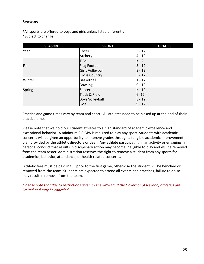#### <span id="page-24-0"></span>**Seasons**

\*All sports are offered to boys and girls unless listed differently \*Subject to change

| <b>SEASON</b> | <b>SPORT</b>     | <b>GRADES</b> |
|---------------|------------------|---------------|
| Year          | Cheer            | $3 - 12$      |
|               | Archery          | $4 - 12$      |
|               | T-Ball           | $K - 2$       |
| Fall          | Flag Football    | $3 - 12$      |
|               | Girls Volleyball | $3 - 12$      |
|               | Cross Country    | $ 3 - 12 $    |
| Winter        | Basketball       | $K - 12$      |
|               | Bowling          | $9 - 12$      |
| Spring        | Soccer           | $K - 12$      |
|               | Track & Field    | $6 - 12$      |
|               | Boys Volleyball  | $ 3 - 12 $    |
|               | Golf             | $9 - 12$      |

Practice and game times vary by team and sport. All athletes need to be picked up at the end of their practice time.

Please note that we hold our student athletes to a high standard of academic excellence and exceptional behavior. A minimum 2.0 GPA is required to play any sport. Students with academic concerns will be given an opportunity to improve grades through a tangible academic improvement plan provided by the athletic directors or dean. Any athlete participating in an activity or engaging in personal conduct that results in disciplinary action may become ineligible to play and will be removed from the team roster. Administration reserves the right to remove a student from any sports for academics, behavior, attendance, or health related concerns.

Athletic fees must be paid in full prior to the first game, otherwise the student will be benched or removed from the team. Students are expected to attend all events and practices, failure to do so may result in removal from the team.

*\*Please note that due to restrictions given by the SNHD and the Governor of Nevada, athletics are limited and may be canceled.*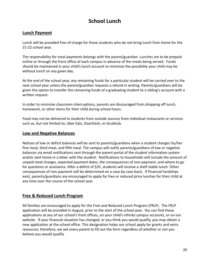# **School Lunch**

# <span id="page-25-1"></span><span id="page-25-0"></span>**Lunch Payment**

Lunch will be provided free of charge for those students who do not bring lunch from home for the 21-22 school year.

The responsibility for meal payments belongs with the parent/guardian. Lunches are to be prepaid online or through the front office of each campus in advance of the meals being served. Funds should be maintained in your child's lunch account to minimize the possibility your child may be without lunch on any given day.

At the end of the school year, any remaining funds for a particular student will be carried over to the next school year unless the parent/guardian requests a refund in writing. Parents/guardians will be given the option to transfer the remaining funds of a graduating student to a sibling's account with a written request.

In order to minimize classroom interruptions, parents are discouraged from dropping off lunch, homework, or other items for their child during school hours.

Food may not be delivered to students from outside sources from individual restaurants or services such as, but not limited to, Uber Eats, DoorDash, or Grubhub.

#### <span id="page-25-2"></span>**Low and Negative Balances**

Notices of low or deficit balances will be sent to parents/guardians when a student charges his/her first meal, third meal, and fifth meal. The campus will notify parents/guardians of low or negative balances via email notifications sent through the parent portal of the student information system and/or sent home in a letter with the student. Notifications to households will include the amount of unpaid meal charges, expected payment dates, the consequences of non-payment, and where to go for questions or assistance. After a deficit of \$35, students will receive a shelf stable lunch. Other consequences of non-payment will be determined on a case-by-case basis. If financial hardships exist, parents/guardians are encouraged to apply for free or reduced price lunches for their child at any time over the course of the school year.

#### <span id="page-25-3"></span>**Free & Reduced Lunch Program**

All families are encouraged to apply for the Free and Reduced Lunch Program (FRLP). The FRLP application will be provided in August, prior to the start of the school year. You can find these applications at any of our school's front offices, on your child's infinite campus accounts, or on our website. If your financial situation has changed, or you think you would qualify, you may obtain a new application at the school office. This designation helps our school apply for grants and extra resources; therefore, we ask every parent to fill out the form regardless of whether or not you believe you would qualify.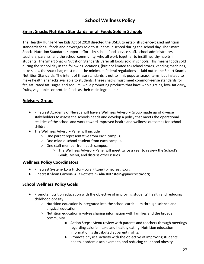# **School Wellness Policy**

#### <span id="page-26-1"></span><span id="page-26-0"></span>**Smart Snacks Nutrition Standards for all Foods Sold in Schools**

The Healthy Hunger-Free Kids Act of 2010 directed the USDA to establish science-based nutrition standards for all foods and beverages sold to students in school during the school day. The Smart Snacks Nutrition Standards support efforts by school food service staff, school administrators, teachers, parents, and the school community, who all work together to instill healthy habits in students. The Smart Snacks Nutrition Standards Carer all foods sold in schools. This means foods sold during the school day in the following locations, (but not limited to) school stores, vending machines, bake sales, the snack bar, must meet the minimum federal regulations as laid out in the Smart Snacks Nutrition Standards. The intent of these standards is not to limit popular snack items, but instead to make healthier snacks available to students. These snacks must meet common-sense standards for fat, saturated fat, sugar, and sodium, while promoting products that have whole grains, low- fat dairy, fruits, vegetables or protein foods as their main ingredients.

#### <span id="page-26-2"></span>**Advisory Group**

- Pinecrest Academy of Nevada will have a Wellness Advisory Group made up of diverse stakeholders to assess the schools needs and develop a policy that meets the operational realities of the school and work toward improved health and wellness outcomes for school children.
- The Wellness Advisory Panel will include
	- One parent representative from each campus.
	- One middle-school student from each campus.
	- One staff member from each campus.
		- The Wellness Advisory Panel will meet twice a year to review the School's Goals, Menu, and discuss other issues.

#### <span id="page-26-3"></span>**Wellness Policy Coordinators**

- Pinecrest System- Lora Flitton- Lora. Fitton@pinecrestnv.org
- Pinecrest Sloan Canyon- Alia Rothstein- Alia.Rothstein@pinecrestnv.org

#### <span id="page-26-4"></span>**School Wellness Policy Goals**

- Promote nutrition education with the objective of improving students' health and reducing childhood obesity.
	- Nutrition education is integrated into the school curriculum through science and physical education.
	- Nutrition education involves sharing information with families and the broader community.
		- Action Steps: Menu review with parents and teachers through meetings regarding calorie intake and healthy eating. Nutrition education information is distributed at parent nights.
		- Promote physical activity with the objective of improving students' health, academic achievement, and reducing childhood obesity.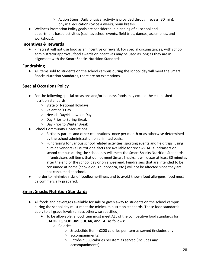- $\circ$  Action Steps: Daily physical activity is provided through recess (30 min), physical education (twice a week), brain breaks.
- Wellness Promotion Policy goals are considered in planning of all school and department-based activities (such as school events, field trips, dances, assemblies, and workshops).

#### <span id="page-27-0"></span>**Incentives & Rewards**

● Pinecrest will not use food as an incentive or reward. For special circumstances, with school administrator approval, food awards or incentives may be used as long as they are in alignment with the Smart Snacks Nutrition Standards.

#### <span id="page-27-1"></span>**Fundraising**

● All items sold to students on the school campus during the school day will meet the Smart Snacks Nutrition Standards, there are no exemptions.

# <span id="page-27-2"></span>**Special Occasions Policy**

- For the following special occasions and/or holidays foods may exceed the established nutrition standards:
	- State or National Holidays
	- Valentine's Day
	- Nevada Day/Halloween Day
	- Day Prior to Spring Break
	- Day Prior to Winter Break
- School Community Observations
	- Birthday parties and other celebrations- once per month or as otherwise determined by the school administration on a limited basis.
	- Fundraising for various school related activities, sporting events and field trips, using outside vendors (all nutritional facts are available for review). ALL fundraisers on school campus during the school day will meet the Smart Snacks Nutrition Standards. If fundraisers sell items that do not meet Smart Snacks, it will occur at least 30 minutes after the end of the school day or on a weekend. Fundraisers that are intended to be consumed at home (cookie dough, popcorn, etc.) will not be affected since they are not consumed at school.
- In order to minimize risks of foodborne-illness and to avoid known food allergens, food must be commercially prepared.

# <span id="page-27-3"></span>**Smart Snacks Nutrition Standards**

- All foods and beverages available for sale or given away to students on the school campus during the school day must meet the minimum nutrition standards. These food standards apply to all grade levels (unless otherwise specified).
	- To be allowable, a food item must meet ALL of the competitive food standards for **CALORIES, SODIUM, SUGAR, and FAT** as follows:
		- Calories:
			- Snack/Side Item- ≤200 calories per item as served (includes any
			- accompaniments)
			- Entrée- ≤350 calories per item as served (includes any accompaniments)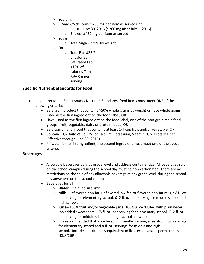- Sodium:
- Snack/Side Item- ≤230 mg per item as served until
	- June 30, 2016 (≤200 mg after July 1, 2016)
	- Entrée- ≤480 mg per item as served
- Sugar:
	- Total Sugar- <35% by weight
- Fat:
	- Total Fat- ≤35% of calories Saturated Fat- <10% of calories Trans Fat– 0 g per serving

#### <span id="page-28-0"></span>**Specific Nutrient Standards for Food**

- In addition to the Smart Snacks Nutrition Standards, food items must meet ONE of the following criteria;
	- Be a grain product that contains >50% whole grains by weight or have whole grains listed as the first ingredient on the food label; OR
	- Have listed as the first ingredient on the food label, one of the non-grain main food groups: fruit, vegetable, dairy or protein foods; OR
	- Be a combination food that contains at least 1/4 cup fruit and/or vegetable; OR
	- Contain 10% Daily Value (DV) of Calcium, Potassium, Vitamin D, or Dietary Fiber (Effective through June 30, 2016).
	- \*If water is the first ingredient, the second ingredient must meet one of the above criteria.

#### <span id="page-28-1"></span>**Beverages**

- Allowable beverages vary by grade level and address container size. All beverages sold on the school campus during the school day must be non-carbonated. There are no restrictions on the sale of any allowable beverage at any grade level, during the school day anywhere on the school campus.
- Beverages for all:
	- **Water–** Plain, no size limit
	- **Milk–** Unflavored non-fat, unflavored low-fat, or flavored non-fat milk, ≤8 fl. oz. per serving for elementary school, ≤12 fl. oz. per serving for middle school and high school.
	- **Juice–** 100% fruit and/or vegetable juice, 100% juice diluted with plain water (no added sweeteners), ≤8 fl. oz. per serving for elementary school, ≤12 fl. oz. per serving for middle school and high school allowable.
	- $\circ$  It is recommended that juice be sold in smaller serving sizes: 4-6 fl. oz. servings for elementary school and 8 fl. oz. servings for middle and high school.\*Includes nutritionally equivalent milk alternatives, as permitted by NSLP/SBP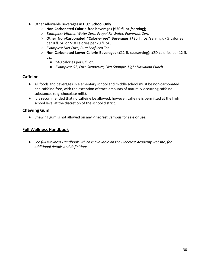- Other Allowable Beverages in **High School Only**
	- **○ Non-Carbonated Calorie-free beverages (≤20 fl. oz./serving);**
	- *○ Examples: Vitamin Water Zero, Propel Fit Water, Powerade Zero*
	- **Other Non-Carbonated "Calorie-free" Beverages** (≤20 fl. oz./serving): <5 calories per 8 fl. oz. or ≤10 calories per 20 fl. oz.;
	- *○ Examples: Diet Fuze, Pure Leaf Iced Tea*
	- **Non-Carbonated Lower-Calorie Beverages** (≤12 fl. oz./serving): ≤60 calories per 12 fl. oz.,
		- ≤40 calories per 8 fl. oz.
		- *■ Examples: G2, Fuze Slenderize, Diet Snapple, Light Hawaiian Punch*

# <span id="page-29-0"></span>**Caffeine**

- All foods and beverages in elementary school and middle school must be non-carbonated and caffeine-free, with the exception of trace amounts of naturally-occurring caffeine substances (e.g. chocolate milk).
- It is recommended that no caffeine be allowed, however, caffeine is permitted at the high school level at the discretion of the school district.

#### <span id="page-29-1"></span>**Chewing Gum**

● Chewing gum is not allowed on any Pinecrest Campus for sale or use.

#### <span id="page-29-2"></span>**Full Wellness Handbook**

*● See full Wellness Handbook, which is available on the Pinecrest Academy website, for additional details and definitions.*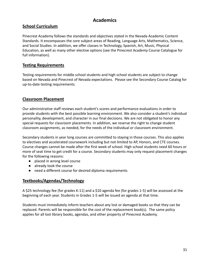# **Academics**

#### <span id="page-30-1"></span><span id="page-30-0"></span>**School Curriculum**

Pinecrest Academy follows the standards and objectives stated in the Nevada Academic Content Standards. It encompasses the core subject areas of Reading, Language Arts, Mathematics, Science, and Social Studies. In addition, we offer classes in Technology, Spanish, Art, Music, Physical Education, as well as many other elective options (see the Pinecrest Academy Course Catalogue for full information).

#### <span id="page-30-2"></span>**Testing Requirements**

Testing requirements for middle school students and high school students are subject to change based on Nevada and Pinecrest of Nevada expectations. Please see the Secondary Course Catalog for up-to-date testing requirements.

# <span id="page-30-3"></span>**Classroom Placement**

Our administrative staff reviews each student's scores and performance evaluations in order to provide students with the best possible learning environment. We also consider a student's individual personality, development, and character in our final decisions. We are not obligated to honor any special requests for classroom placements. In addition, we reserve the right to change student classroom assignments, as needed, for the needs of the individual or classroom environment.

Secondary students in year long courses are committed to staying in those courses. This also applies to electives and accelerated coursework including but not limited to AP, Honors, and CTE courses. Course changes cannot be made after the first week of school. High school students need 60 hours or more of seat time to get credit for a course. Secondary students may only request placement changes for the following reasons:

- placed in wrong level course
- already took the course
- need a different course for desired diploma requirements

# <span id="page-30-4"></span>**Textbooks/Agendas/Technology**

A \$25 technology fee (for grades K-11) and a \$10 agenda fee (for grades 1-5) will be assessed at the beginning of each year. Students in Grades 1-5 will be issued an agenda at that time.

Students must immediately inform teachers about any lost or damaged books so that they can be replaced. Parents will be responsible for the cost of the replacement book(s). The same policy applies for all lost library books, agendas, and other property of Pinecrest Academy.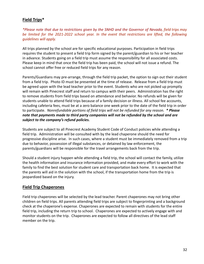#### <span id="page-31-0"></span>**Field Trips\***

\*Please note that due to restrictions given by the SNHD and the Governor of Nevada, field trips may *be limited for the 2021-2022 school year. In the event that restrictions are lifted, the following guidelines will apply.*

All trips planned by the school are for specific educational purposes. Participation in field trips requires the student to present a field trip form signed by the parent/guardian to his or her teacher in advance. Students going on a field trip must assume the responsibility for all associated costs. Please keep in mind that once the field trip has been paid, the school will not issue a refund. The school cannot offer free or reduced field trips for any reason.

Parents/Guardians may pre-arrange, through the field trip packet, the option to sign out their student from a field trip. Photo ID must be presented at the time of release. Release from a field trip must be agreed upon with the lead teacher prior to the event. Students who are not picked up promptly will remain with Pinecrest staff and return to campus with their peers. Administration has the right to remove students from field trips based on attendance and behavior. No refunds will be given for students unable to attend field trips because of a family decision or illness. All school fee accounts, including cafeteria fees, must be at a zero balance one week prior to the date of the field trip in order to participate. *Nonrefundable portions of field trips will not be refunded for any reason. \* Please note that payments made to third party companies will not be refunded by the school and are subject to the company's refund policies.*

Students are subject to all Pinecrest Academy Student Code of Conduct policies while attending a field trip. Administration will be consulted with by the lead chaperone should the need for progressive discipline arise. In such cases, where a student must be immediately removed from a trip due to behavior, possession of illegal substances, or detained by law enforcement, the parents/guardians will be responsible for the travel arrangements back from the trip.

Should a student injury happen while attending a field trip, the school will contact the family, utilize the health information and insurance information provided, and make every effort to work with the family to find the best solution for student care and transportation back home. It is expected that the parents will aid in the solution with the school, if the transportation home from the trip is jeopardized based on the injury.

#### <span id="page-31-1"></span>**Field Trip Chaperones**

Field trip chaperones will be selected by the lead teacher. Parent chaperones may not bring other children on field trips. All parents attending field trips are subject to fingerprinting and a background check at the chaperone's expense. Chaperones are expected to remain with students for the entire field trip, including the return trip to school. Chaperones are expected to actively engage with and monitor students on the trip. Chaperones are expected to follow all directives of the lead staff member on the trip.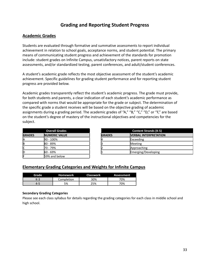# **Grading and Reporting Student Progress**

#### <span id="page-32-1"></span><span id="page-32-0"></span>**Academic Grades**

Students are evaluated through formative and summative assessments to report individual achievement in relation to school goals, acceptance norms, and student potential. The primary means of communicating student progress and achievement of the standards for promotion include: student grades on Infinite Campus, unsatisfactory notices, parent reports on state assessments, and/or standardized testing, parent conferences, and adult/student conferences.

A student's academic grade reflects the most objective assessment of the student's academic achievement. Specific guidelines for grading student performance and for reporting student progress are provided below.

Academic grades transparently reflect the student's academic progress. The grade must provide, for both students and parents, a clear indication of each student's academic performance as compared with norms that would be appropriate for the grade or subject. The determination of the specific grade a student receives will be based on the objective grading of academic assignments during a grading period. The academic grades of "A," "B," "C," "D," or "F," are based on the student's degree of mastery of the instructional objectives and competencies for the subject.

|               | <b>Overall Grades</b> |               | <b>Content Strands (K-5</b> |
|---------------|-----------------------|---------------|-----------------------------|
| <b>GRADES</b> | <b>NUMERIC VALUE</b>  | <b>GRADES</b> | <b>VERBAL INTERPRETAT</b>   |
| ΙA            | 90 - 100%             |               | Exceeding                   |
| ΙB            | 80 - 89%              |               | Meeting                     |
| Iс            | 70 - 79%              |               | Approaching                 |
| ID            | 60 - 69%              |               | Emerging/Developing         |
| IF            | 59% and below         |               |                             |

|               | <b>Overall Grades</b> |               | <b>Content Strands (K-5)</b>  |
|---------------|-----------------------|---------------|-------------------------------|
| <b>GRADES</b> | <b>INUMERIC VALUE</b> | <b>GRADES</b> | <b>IVERBAL INTERPRETATION</b> |
| A             | $90 - 100\%$          |               | Exceeding                     |
| B             | 80 - 89%              |               | Meeting                       |
| ◠<br>U        | 70 - 79%              |               | Approaching                   |
| D             | $60 - 69%$            |               | Emerging/Developing           |
|               |                       |               |                               |

#### <span id="page-32-2"></span>**Elementary Grading Categories and Weights for Infinite Campus**

| Grade | <b>Homework</b> | <b>Classwork</b> | Assessment |
|-------|-----------------|------------------|------------|
| K-3   | Completion      | 30%              | 70%        |
| 4-5   | 5%              | 25%              | 70%        |

#### **Secondary Grading Categories**

Please see each class syllabus for details regarding the grading categories for each class in middle school and high school.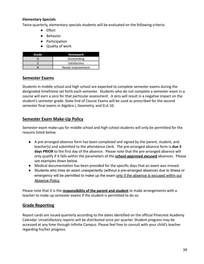#### **Elementary Specials**

Twice quarterly, elementary specials students will be evaluated on the following criteria:

- Effort
- Behavior
- Participation
- Quality of work

| Grade | <b>Homework</b>   |
|-------|-------------------|
|       | Outstanding       |
|       | Satisfactory      |
|       | Needs Improvement |

#### **Semester Exams**

Students in middle school and high school are expected to complete semester exams during the designated timeframe set forth each semester. Students who do not complete a semester exam in a course will earn a zero for that particular assessment. A zero will result in a negative impact on the student's semester grade. State End of Course Exams will be used as prescribed for the second semester final exams in Algebra I, Geometry, and ELA 10.

#### **Semester Exam Make-Up Policy**

Semester exam make-ups for middle school and high school students will only be permitted for the reasons listed below.

- A pre-arranged absence form has been completed and signed by the parent, student, and teacher(s) and submitted to the attendance clerk. The pre-arranged absence form is **due 3 days PRIOR** to the first day of the absence. Please note that the pre-arranged absence will only qualify if it falls within the parameters of the **school-approved excused** absences. Please see examples down below.
- Medical documentation has been provided for the specific days that an exam was missed.
- Students who miss an exam unexpectedly (without a pre-arranged absence) due to illness or emergency will be permitted to make up the exam only if the absence is excused within our Absence Policy.

Please note that it is the **responsibility of the parent and student** to make arrangements with a teacher to make up semester exams if the student is permitted to do so.

#### <span id="page-33-0"></span>**Grade Reporting**

Report cards are issued quarterly according to the dates identified on the official Pinecrest Academy Calendar. Unsatisfactory reports will be distributed once per quarter. Student progress may be accessed at any time through Infinite Campus. Please feel free to consult with your child's teacher regarding his/her progress.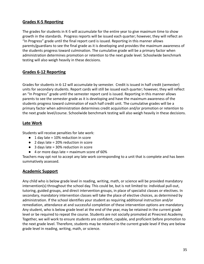### <span id="page-34-0"></span>**Grades K-5 Reporting**

The grades for students in K-5 will accumulate for the entire year to give maximum time to show growth in the standards. Progress reports will be issued each quarter; however, they will reflect an "In Progress" grade until the final report card is issued. Reporting in this manner allows parents/guardians to see the final grade as it is developing and provides the maximum awareness of the students progress toward culmination. The cumulative grade will be a primary factor when administration determines promotion or retention to the next grade level. Schoolwide benchmark testing will also weigh heavily in these decisions.

#### <span id="page-34-1"></span>**Grades 6-12 Reporting**

Grades for students in 6-12 will accumulate by semester. Credit is issued in half credit (semester) units for secondary students. Report cards will still be issued each quarter; however, they will reflect an "In Progress" grade until the semester report card is issued. Reporting in this manner allows parents to see the semester grade as it is developing and have the maximum awareness of the students progress toward culmination of each half credit unit. The cumulative grades will be a primary factor when administration determines credit acquisition and/or promotion or retention to the next grade level/course. Schoolwide benchmark testing will also weigh heavily in these decisions.

#### <span id="page-34-2"></span>**Late Work**

Students will receive penalties for late work:

- $\bullet$  1 day late = 10% reduction in score
- 2 days late = 20% reduction in score
- 3 days late = 30% reduction in score
- 4 or more days late = maximum score of 60%

Teachers may opt not to accept any late work corresponding to a unit that is complete and has been summatively assessed.

#### <span id="page-34-3"></span>**Academic Support**

Any child who is below grade level in reading, writing, math, or science will be provided mandatory intervention(s) throughout the school day. This could be, but is not limited to: individual pull-out, tutoring, guided groups, and direct intervention groups, in place of specialist classes or electives. In secondary, mandatory intervention classes will take the place of elective choices, as determined by administration. If the school identifies your student as requiring additional instruction and/or remediation, attendance at and successful completion of these intervention options are mandatory. Any student, who is below grade level at the end of the year, may be retained in the current grade level or be required to repeat the course. Students are not socially promoted at Pinecrest Academy. Together, we will work to ensure students are confident, capable, and proficient before promotion to the next grade level. Therefore, students may be retained in the current grade level if they are below grade level in reading, writing, math, or science.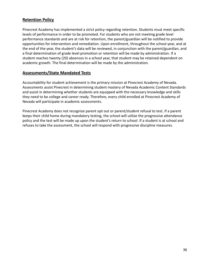#### <span id="page-35-0"></span>**Retention Policy**

Pinecrest Academy has implemented a strict policy regarding retention. Students must meet specific levels of performance in order to be promoted. For students who are not meeting grade level performance standards and are at risk for retention, the parent/guardian will be notified to provide opportunities for intervention and remediation. Upon enrollment, throughout the school year, and at the end of the year, the student's data will be reviewed, in conjunction with the parent/guardian, and a final determination of grade level promotion or retention will be made by administration. If a student reaches twenty (20) absences in a school year, that student may be retained dependent on academic growth. The final determination will be made by the administration.

#### <span id="page-35-1"></span>**Assessments/State Mandated Tests**

Accountability for student achievement is the primary mission at Pinecrest Academy of Nevada. Assessments assist Pinecrest in determining student mastery of Nevada Academic Content Standards and assist in determining whether students are equipped with the necessary knowledge and skills they need to be college and career ready. Therefore, every child enrolled at Pinecrest Academy of Nevada will participate in academic assessments.

Pinecrest Academy does not recognize parent opt out or parent/student refusal to test. If a parent keeps their child home during mandatory testing, the school will utilize the progressive attendance policy and the test will be made up upon the student's return to school. If a student is at school and refuses to take the assessment, the school will respond with progressive discipline measures.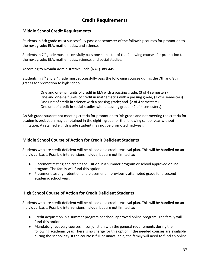# **Credit Requirements**

### **Middle School Credit Requirements**

Students in 6th grade must successfully pass one semester of the following courses for promotion to the next grade: ELA, mathematics, and science.

Students in 7<sup>th</sup> grade must successfully pass one semester of the following courses for promotion to the next grade: ELA, mathematics, science, and social studies.

According to Nevada Administrative Code (NAC) 389.445

Students in  $7<sup>th</sup>$  and  $8<sup>th</sup>$  grade must successfully pass the following courses during the 7th and 8th grades for promotion to high school:

- · One and one-half units of credit in ELA with a passing grade. (3 of 4 semesters)
- · One and one-half units of credit in mathematics with a passing grade; (3 of 4 semesters)
- One unit of credit in science with a passing grade; and (2 of 4 semesters)
- · One unit of credit in social studies with a passing grade. (2 of 4 semesters)

An 8th grade student not meeting criteria for promotion to 9th grade and not meeting the criteria for academic probation may be retained in the eighth grade for the following school year without limitation. A retained eighth grade student may not be promoted mid-year.

### **Middle School Course of Action for Credit Deficient Students**

Students who are credit deficient will be placed on a credit retrieval plan. This will be handled on an individual basis. Possible interventions include, but are not limited to:

- Placement testing and credit acquisition in a summer program or school approved online program. The family will fund this option.
- Placement testing, retention and placement in previously attempted grade for a second academic school year.

### **High School Course of Action for Credit Deficient Students**

Students who are credit deficient will be placed on a credit retrieval plan. This will be handled on an individual basis. Possible interventions include, but are not limited to:

- Credit acquisition in a summer program or school approved online program. The family will fund this option.
- Mandatory recovery courses in conjunction with the general requirements during their following academic year. There is no charge for this option if the needed courses are available during the school day. If the course is full or unavailable, the family will need to fund an online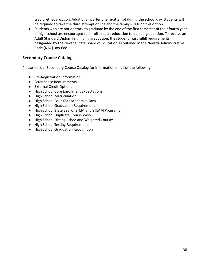credit retrieval option. Additionally, after one re-attempt during the school day, students will be required to take the third attempt online and the family will fund this option.

● Students who are not on track to graduate by the end of the first semester of their fourth year of high school are encouraged to enroll in adult education to pursue graduation. To receive an Adult Standard Diploma signifying graduation, the student must fulfill requirements designated by the Nevada State Board of Education as outlined in the Nevada Administrative Code (NAC) 389.688.

### **Secondary Course Catalog**

Please see our Secondary Course Catalog for information on all of the following:

- Pre-Registration Information
- Attendance Requirements
- External Credit Options
- High School Core Enrollment Expectations
- High School Matriculation
- High School Four-Year Academic Plans
- High School Graduation Requirements
- High School State Seal of STEM and STEAM Programs
- High School Duplicate Course Work
- High School Distinguished and Weighted Courses
- High School Testing Requirements
- High School Graduation Recognition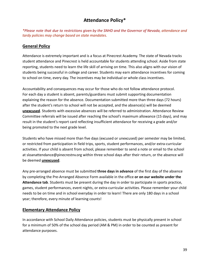# **Attendance Policy\***

*\*Please note that due to restrictions given by the SNHD and the Governor of Nevada, attendance and tardy policies may change based on state mandates.*

# **General Policy**

Attendance is extremely important and is a focus at Pinecrest Academy. The state of Nevada tracks student attendance and Pinecrest is held accountable for students attending school. Aside from state reporting, students need to learn the life skill of arriving on time. This also aligns with our vision of students being successful in college and career. Students may earn attendance incentives for coming to school on time, every day. The incentives may be individual or whole class incentives.

Accountability and consequences may occur for those who do not follow attendance protocol. For each day a student is absent, parents/guardians must submit supporting documentation explaining the reason for the absence. Documentation submitted more than three days (72 hours) after the student's return to school will not be accepted, and the absence(s) will be deemed **unexcused**. Students with excessive absences will be referred to administration. Attendance Review Committee referrals will be issued after reaching the school's maximum allowance (15 days), and may result in the student's report card reflecting insufficient attendance for receiving a grade and/or being promoted to the next grade level.

Students who have missed more than five days (excused or unexcused) per semester may be limited, or restricted from participation in field trips, sports, student performances, and/or extra-curricular activities. If your child is absent from school, please remember to send a note or email to the school at sloanattendance@pinecrestnv.org within three school days after their return, or the absence will be deemed **unexcused**.

Any pre-arranged absence must be submitted **three days in advance** of the first day of the absence by completing the Pre-Arranged Absence Form available in the office **or on our website under the Attendance tab**. Students must be present during the day in order to participate in sports practice, games, student performances, event nights, or extra-curricular activities. Please remember your child needs to be on time and in school everyday in order to learn! There are only 180 days in a school year; therefore, every minute of learning counts!

# **Elementary Attendance Policy**

In accordance with School Daily Attendance policies, students must be physically present in school for a minimum of 50% of the school day period (AM & PM) in order to be counted as present for attendance purposes.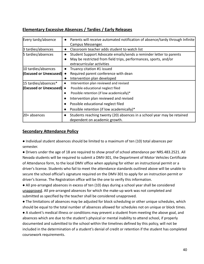# **Elementary Excessive Absences / Tardies / Early Releases**

| Every tardy/absence             | Parents will receive automated notification of absence/tardy through Infinite<br>$\bullet$ |  |
|---------------------------------|--------------------------------------------------------------------------------------------|--|
|                                 | Campus Messenger.                                                                          |  |
| 3 tardies/absences              | Classroom teacher adds student to watch list                                               |  |
| 5 tardies/absences              | Student Support Advocate emails/sends a reminder letter to parents                         |  |
|                                 | May be restricted from field trips, performances, sports, and/or<br>$\bullet$              |  |
|                                 | extracurricular activities                                                                 |  |
| 10 tardies/absences             | Truancy citation #1 issued                                                                 |  |
| (Excused or Unexcused)          | Required parent conference with dean                                                       |  |
|                                 | Intervention plan developed<br>$\bullet$                                                   |  |
| 15 tardies/absences*            | Intervention plan reviewed and revised<br>$\bullet$                                        |  |
| <b>(Excused or Unexcused)</b> • | Possible educational neglect filed                                                         |  |
|                                 | Possible retention (if low academically)*<br>$\bullet$                                     |  |
|                                 | Intervention plan reviewed and revised<br>$\bullet$                                        |  |
|                                 | Possible educational neglect filed<br>$\bullet$                                            |  |
|                                 | Possible retention (if low academically)*<br>$\bullet$                                     |  |
| $20+$ absences                  | Students reaching twenty (20) absences in a school year may be retained<br>$\bullet$       |  |
|                                 | dependent on academic growth.                                                              |  |

## **Secondary Attendance Policy**

● Individual student absences should be limited to a maximum of ten (10) total absences per semester.

● Drivers under the age of 18 are required to show proof of school attendance per NRS.483.2521. All Nevada students will be required to submit a DMV-301, the Department of Motor Vehicles Certificate of Attendance form, to the local DMV office when applying for either an instructional permit or a driver's license. Students who fail to meet the attendance standards outlined above will be unable to secure the school official's signature required on the DMV-301 to apply for an instruction permit or driver's license. The Registration office will be the one to verify this information.

● All pre-arranged absences in excess of ten (10) days during a school year shall be considered unapproved. All pre-arranged absences for which the make-up work was not completed and submitted as specified by the teacher shall be considered unapproved.

● The limitations of absences may be adjusted for block scheduling or other unique schedules, which should be equal to the total number of absences allowed for schedules not on unique or block times.

● A student's medical illness or conditions may prevent a student from meeting the above goal, and absences which are due to the student's physical or mental inability to attend school, if properly documented and submitted to the school within the timelines defined by this policy, will not be included in the determination of a student's denial of credit or retention if the student has completed coursework requirements.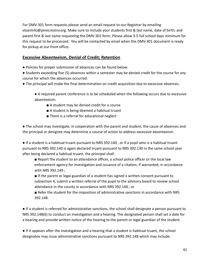For DMV-301 form requests please send an email request to our Registrar by emailing sloanInfo@pinecrestnv.org. Make sure to include your students first & last name, date of birth, and parent first & last name requesting the DMV-301 form. Please allow 3-5 full school days minimum for this request to be processed. You will be contacted by email when the DMV-301 document is ready for pickup at our front office**.**

## **Excessive Absenteeism, Denial of Credit; Retention**

- Policies for proper submission of absences can be found below.
- Students exceeding five (5) absences within a semester may be denied credit for the course for any course for which the absences occurred.
- The principal will make the final determination on credit acquisition due to excessive absences.
	- A required parent conference is to be scheduled when the following occurs due to excessive absenteeism:
		- A student may be denied credit for a course
		- A student is being deemed a habitual truant
		- There is a referral for educational neglect

● The school may investigate, in cooperation with the parent and student, the cause of absences and the principal or designee may determine a course of action to address excessive absenteeism.

● If a student is a habitual truant pursuant to NRS 392.140 , or if a pupil who is a habitual truant pursuant to NRS 392.140 is again declared truant pursuant to NRS 392.130 in the same school year after being declared a habitual truant, the principal shall:

■ Report the student to an attendance officer, a school police officer or the local law enforcement agency for investigation and issuance of a citation, if warranted, in accordance with NRS 392.149 ;

■ If the parent or legal guardian of a student has signed a written consent pursuant to subsection 4, submit a written referral of the pupil to the advisory board to review school attendance in the county in accordance with NRS 392.146 ; or

■ Refer the student for the imposition of administrative sanctions in accordance with NRS 392.148.

● If a student is referred for administrative sanctions, the school shall designate a person pursuant to NRS 392.148(6) to conduct an investigation and a hearing. The designated person shall set a date for a hearing and provide written notice of the hearing to the parent or legal guardian of the student.

● If it appears after the investigation and a hearing that a student is habitual truant, the school designatee may issue administrative sanctions pursuant to NRS 392.148 which may include: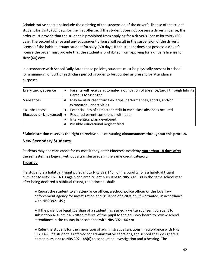Administrative sanctions include the ordering of the suspension of the driver's license of the truant student for thirty (30) days for the first offense. If the student does not possess a driver's license, the order must provide that the student is prohibited from applying for a driver's license for thirty (30) days. The second offense and any subsequent offense will result in the suspension of the driver's license of the habitual truant student for sixty (60) days. If the student does not possess a driver's license the order must provide that the student is prohibited from applying for a driver's license for sixty (60) days.

In accordance with School Daily Attendance policies, students must be physically present in school for a minimum of 50% of **each class period** in order to be counted as present for attendance purposes

| Every tardy/absence                  |                                                                  | Parents will receive automated notification of absence/tardy through Infinite |  |
|--------------------------------------|------------------------------------------------------------------|-------------------------------------------------------------------------------|--|
|                                      |                                                                  | Campus Messenger.                                                             |  |
| 5 absences                           | May be restricted from field trips, performances, sports, and/or |                                                                               |  |
|                                      |                                                                  | extracurricular activities                                                    |  |
| $10+$ absences $*$                   |                                                                  | Potential loss of semester credit in each class absences occured              |  |
| $ $ (Excused or Unexcused) $\bullet$ | Required parent conference with dean                             |                                                                               |  |
|                                      |                                                                  | Intervention plan developed                                                   |  |
|                                      |                                                                  | Possible educational neglect filed                                            |  |

**\*Administration reserves the right to review all extenuating circumstances throughout this process.**

### **New Secondary Students**

Students may not earn credit for courses if they enter Pinecrest Academy **more than 18 days after** the semester has begun, without a transfer grade in the same credit category.

### **Truancy**

If a student is a habitual truant pursuant to NRS 392.140 , or if a pupil who is a habitual truant pursuant to NRS 392.140 is again declared truant pursuant to NRS 392.130 in the same school year after being declared a habitual truant, the principal shall:

● Report the student to an attendance officer, a school police officer or the local law enforcement agency for investigation and issuance of a citation, if warranted, in accordance with NRS 392.149 ;

● If the parent or legal guardian of a student has signed a written consent pursuant to subsection 4, submit a written referral of the pupil to the advisory board to review school attendance in the county in accordance with NRS 392.146 ; or

● Refer the student for the imposition of administrative sanctions in accordance with NRS 392.148 . If a student is referred for administrative sanctions, the school shall designate a person pursuant to NRS 392.148(6) to conduct an investigation and a hearing. The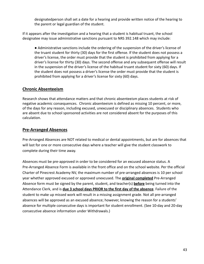designatedperson shall set a date for a hearing and provide written notice of the hearing to the parent or legal guardian of the student.

If it appears after the investigation and a hearing that a student is habitual truant, the school designatee may issue administrative sanctions pursuant to NRS 392.148 which may include:

● Administrative sanctions include the ordering of the suspension of the driver's license of the truant student for thirty (30) days for the first offense. If the student does not possess a driver's license, the order must provide that the student is prohibited from applying for a driver's license for thirty (30) days. The second offense and any subsequent offense will result in the suspension of the driver's license of the habitual truant student for sixty (60) days. If the student does not possess a driver's license the order must provide that the student is prohibited from applying for a driver's license for sixty (60) days.

### **Chronic Absenteeism**

Research shows that attendance matters and that chronic absenteeism places students at risk of negative academic consequences. Chronic absenteeism is defined as missing 10 percent, or more, of the days for any reason, including excused, unexcused or disciplinary absences. Students who are absent due to school sponsored activities are not considered absent for the purposes of this calculation.

### **Pre-Arranged Absences**

Pre-Arranged Absences are NOT related to medical or dental appointments, but are for absences that will last for one or more consecutive days where a teacher will give the student classwork to complete during their time away.

Absences must be pre-approved in order to be considered for an excused absence status. A Pre-Arranged Absence Form is available in the front office and on the school website. Per the official Charter of Pinecrest Academy NV, the maximum number of pre-arranged absences is 10 per school year whether approved excused or approved unexcused. The **original completed** Pre-Arranged Absence form must be signed by the parent, student, and teacher(s) **before** being turned into the Attendance Clerk, and is **due 3 school days PRIOR to the first day of the absence**. Failure of the student to make up missed work will result in a missing assignment grade. Not all pre-arranged absences will be approved as an excused absence; however, knowing the reason for a students' absence for multiple consecutive days is important for student enrollment. (See 10-day and 20-day consecutive absence information under Withdrawals.)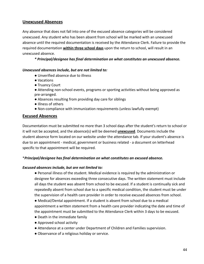### **Unexcused Absences**

Any absence that does not fall into one of the excused absence categories will be considered unexcused. Any student who has been absent from school will be marked with an unexcused absence until the required documentation is received by the Attendance Clerk. Failure to provide the required documentation **within three school days** upon the return to school, will result in an unexcused absence.

*\* Principal/designee has final determination on what constitutes an unexcused absence.*

#### *Unexcused absences include, but are not limited to:*

- Unverified absence due to illness
- Vacations
- Truancy Court
- Attending non-school events, programs or sporting activities without being approved as pre-arranged.
- Absences resulting from providing day care for siblings
- Illness of others
- Non-compliance with immunization requirements (unless lawfully exempt)

#### **Excused Absences**

Documentation must be submitted no more than 3 school days after the student's return to school or it will not be accepted, and the absence(s) will be deemed **unexcused**. Documents include the student absence form located on our website under the attendance tab. If your student's absence is due to an appointment - medical, government or business related - a document on letterhead specific to that appointment will be required.

#### \**Principal/designee has final determination on what constitutes an excused absence.*

#### *Excused absences include, but are not limited to:*

● Personal illness of the student. Medical evidence is required by the administration or designee for absences exceeding three consecutive days. The written statement must include all days the student was absent from school to be excused. If a student is continually sick and repeatedly absent from school due to a specific medical condition, the student must be under the supervision of a health care provider in order to receive excused absences from school.

● Medical/Dental appointment. If a student is absent from school due to a medical appointment a written statement from a health care provider indicating the date and time of the appointment must be submitted to the Attendance Clerk within 3 days to be excused.

- Death in the immediate family
- Approved school activity
- Attendance at a center under Department of Children and Families supervision.
- Observance of a religious holiday or service.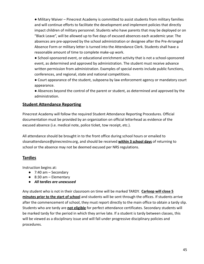● Military Waiver – Pinecrest Academy is committed to assist students from military families and will continue efforts to facilitate the development and implement policies that directly impact children of military personnel. Students who have parents that may be deployed or on "Black Leave", will be allowed up to five days of excused absences each academic year. The absences are pre-approved by the school administration or designee after the Pre-Arranged Absence Form or military letter is turned into the Attendance Clerk. Students shall have a reasonable amount of time to complete make-up work.

● School-sponsored event, or educational enrichment activity that is not a school-sponsored event, as determined and approved by administration. The student must receive advance written permission from administration. Examples of special events include public functions, conferences, and regional, state and national competitions.

● Court appearance of the student, subpoena by law enforcement agency or mandatory court appearance.

● Absences beyond the control of the parent or student, as determined and approved by the administration.

### **Student Attendance Reporting**

Pinecrest Academy will follow the required Student Attendance Reporting Procedures. Official documentation must be provided by an organization on official letterhead as evidence of the excused absence (i.e. medical note, police ticket, tow receipt, etc.).

All attendance should be brought in to the front office during school hours or emailed to sloanattendance@pinecrestnv.org, and should be received **within 3 school days** of returning to school or the absence may not be deemed excused per NRS regulations.

### **Tardies**

Instruction begins at:

- $\bullet$  7:40 am Secondary
- $\bullet$  8:30 am Elementary
- *● All tardies are unexcused*

Any student who is not in their classroom on time will be marked TARDY. **Carloop will close 5 minutes prior to the start of school** and students will be sent through the offices. If students arrive after the commencement of school, they must report directly to the main office to obtain a tardy slip. Students who are tardy are **not eligible** for perfect attendance certificates. Secondary students will be marked tardy for the period in which they arrive late. If a student is tardy between classes, this will be viewed as a disciplinary issue and will fall under progressive disciplinary policies and procedures.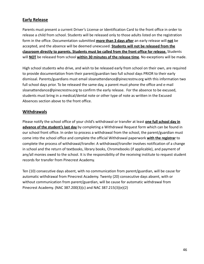# **Early Release**

Parents must present a current Driver's License or Identification Card to the front office in order to release a child from school. Students will be released only to those adults listed on the registration form in the office. Documentation submitted **more than 3 days after** an early release will **not** be accepted, and the absence will be deemed unexcused. **Students will not be released from the classroom directly to parents. Students must be called from the front office for release.** Students will **NOT** be released from school **within 30 minutes of the release time**. No exceptions will be made.

High school students who drive, and wish to be released early from school on their own, are required to provide documentation from their parent/guardian two full school days PRIOR to their early dismissal. Parents/guardians must email sloanattendance@pinecrestnv.org with this information two full school days prior. To be released the same day, a parent must phone the office and e-mail sloanattendance@pinecrestnv.org to confirm the early release. For the absence to be excused, students must bring in a medical/dental note or other type of note as written in the Excused Absences section above to the front office.

## **Withdrawals**

Please notify the school office of your child's withdrawal or transfer at least **one full school day in advance of the student's last day** by completing a Withdrawal Request form which can be found in our school front office. In order to process a withdrawal from the school, the parent/guardian must come into the school office and complete the official Withdrawal paperwork **with the registrar** to complete the process of withdrawal/transfer. A withdrawal/transfer involves notification of a change in school and the return of textbooks, library books, Chromebooks (if applicable), and payment of any/all monies owed to the school. It is the responsibility of the receiving institute to request student records for transfer from Pinecrest Academy.

Ten (10) consecutive days absent, with no communication from parent/guardian, will be cause for automatic withdrawal from Pinecrest Academy. Twenty (20) consecutive days absent, with or without communication from parent/guardian, will be cause for automatic withdrawal from Pinecrest Academy. (NAC 387.200(3)(c) and NAC 387.215(3)(e)(2)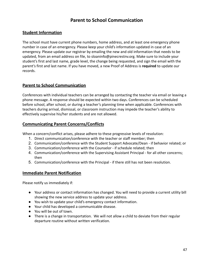# **Parent to School Communication**

## **Student Information**

The school must have current phone numbers, home address, and at least one emergency phone number in case of an emergency. Please keep your child's information updated in case of an emergency. Please update our registrar by emailing the new and old information that needs to be updated, from an email address on file, to sloaninfo@pinecrestnv.org. Make sure to include your student's first and last name, grade level, the change being requested, and sign the email with the parent's first and last name. If you have moved, a new Proof of Address is **required** to update our records.

### **Parent to School Communication**

Conferences with individual teachers can be arranged by contacting the teacher via email or leaving a phone message. A response should be expected within two days. Conferences can be scheduled before school, after school, or during a teacher's planning time when applicable. Conferences with teachers during arrival, dismissal, or classroom instruction may impede the teacher's ability to effectively supervise his/her students and are not allowed.

### **Communicating Parent Concerns/Conflicts**

When a concern/conflict arises, please adhere to these progressive levels of resolution:

- 1. Direct communication/conference with the teacher or staff member; then
- 2. Communication/conference with the Student Support Advocate/Dean if behavior related; or
- 3. Communication/conference with the Counselor if schedule related; then
- 4. Communication/conference with the Supervising Assistant Principal for all other concerns; then
- 5. Communication/conference with the Principal if there still has not been resolution.

### **Immediate Parent Notification**

Please notify us immediately if:

- Your address or contact information has changed. You will need to provide a current utility bill showing the new service address to update your address.
- You wish to update your child's emergency contact information.
- Your child has developed a communicable disease.
- You will be out of town.
- There is a change in transportation. We will not allow a child to deviate from their regular departure routine without written verification.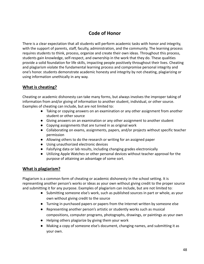# **Code of Honor**

There is a clear expectation that all students will perform academic tasks with honor and integrity, with the support of parents, staff, faculty, administration, and the community. The learning process requires students to think, process, organize and create their own ideas. Throughout this process, students gain knowledge, self-respect, and ownership in the work that they do. These qualities provide a solid foundation for life skills, impacting people positively throughout their lives. Cheating and plagiarism violate the fundamental learning process and compromise personal integrity and one's honor. students demonstrate academic honesty and integrity by not cheating, plagiarizing or using information unethically in any way.

## **What is cheating?**

Cheating or academic dishonesty can take many forms, but always involves the improper taking of information from and/or giving of information to another student, individual, or other source. Examples of cheating can include, but are not limited to:

- Taking or copying answers on an examination or any other assignment from another student or other source
- Giving answers on an examination or any other assignment to another student
- Copying assignments that are turned in as original work
- Collaborating on exams, assignments, papers, and/or projects without specific teacher permission
- Allowing others to do the research or writing for an assigned paper
- Using unauthorized electronic devices
- Falsifying data or lab results, including changing grades electronically
- Utilizing Apple Watches or other personal devices without teacher approval for the purpose of attaining an advantage of some sort.

### **What is plagiarism?**

Plagiarism is a common form of cheating or academic dishonesty in the school setting. It is representing another person's works or ideas as your own without giving credit to the proper source and submitting it for any purpose. Examples of plagiarism can include, but are not limited to:

- Submitting someone else's work, such as published sources in part or whole, as your own without giving credit to the source
- Turning in purchased papers or papers from the Internet written by someone else
- Representing another person's artistic or studently works such as musical compositions, computer programs, photographs, drawings, or paintings as your own
- Helping others plagiarize by giving them your work
- Making a copy of someone else's document, changing names, and submitting it as your own.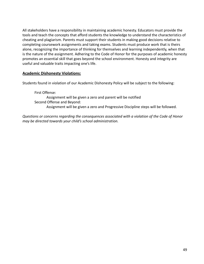All stakeholders have a responsibility in maintaining academic honesty. Educators must provide the tools and teach the concepts that afford students the knowledge to understand the characteristics of cheating and plagiarism. Parents must support their students in making good decisions relative to completing coursework assignments and taking exams. Students must produce work that is theirs alone, recognizing the importance of thinking for themselves and learning independently, when that is the nature of the assignment. Adhering to the Code of Honor for the purposes of academic honesty promotes an essential skill that goes beyond the school environment. Honesty and integrity are useful and valuable traits impacting one's life.

#### **Academic Dishonesty Violations:**

Students found in violation of our Academic Dishonesty Policy will be subject to the following:

First Offense: Assignment will be given a zero and parent will be notified Second Offense and Beyond: Assignment will be given a zero and Progressive Discipline steps will be followed.

*Questions or concerns regarding the consequences associated with a violation of the Code of Honor may be directed towards your child's school administration.*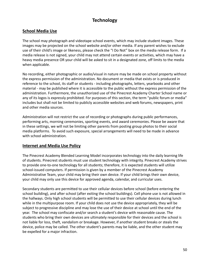# **Technology**

## **School Media Use**

The school may photograph and videotape school events, which may include student images. These images may be projected on the school website and/or other media. If any parent wishes to exclude use of their child's image or likeness, please check the "I Do Not" box on the media release form. If a media release is not signed, your child may not attend certain events or activities, which may have a heavy media presence OR your child will be asked to sit in a designated zone, off limits to the media when applicable.

No recording, either photographic or audio/visual in nature may be made on school property without the express permission of the administration. No document or media that exists or is produced in reference to the school, its staff or students - including photographs, letters, yearbooks and other material - may be published where it is accessible to the public without the express permission of the administration. Furthermore, the unauthorized use of the Pinecrest Academy Charter School name or any of its logos is expressly prohibited. For purposes of this section, the term "public forum or media" includes but shall not be limited to publicly accessible websites and web forums, newspapers, print and other media sources.

Administration will not restrict the use of recording or photographs during public performances, performing arts, morning ceremonies, sporting events, and award ceremonies. Please be aware that in these settings, we will not be limiting other parents from posting group photos to their social media platforms. To avoid such exposure, special arrangements will need to be made in advance with school administration.

### **Internet and Media Use Policy**

The Pinecrest Academy Blended Learning Model incorporates technology into the daily learning life of students. Pinecrest students must use student technology with integrity. Pinecrest Academy strives to provide one-to-one technology for all students; therefore, it is expected students will utilize school-issued computers. If permission is given by a member of the Pinecrest Academy Administrative Team, your child may bring their own device. If your child brings their own device, your child may only use this device for approved agenda, calendar, and curricular uses.

Secondary students are permitted to use their cellular devices before school (before entering the school building), and after school (after exiting the school buildings). Cell phone use is not allowed in the hallways. Only high school students will be permitted to use their cellular devices during lunch while in the multipurpose room. If your child does not use the device appropriately, they will be subject to progressive discipline and may lose the use of their device at school until the end of the year. The school may confiscate and/or search a student's device with reasonable cause. The students who bring their own devices are ultimately responsible for their devices and the school is not liable for loss, theft, vandalism or breakage. However, if another student breaks or steals the device, police may be called. The other student's parents may be liable, and the other student may be expelled for a major infraction.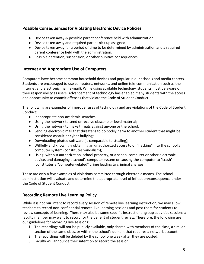# **Possible Consequences for Violating Electronic Device Policies**

- Device taken away & possible parent conference held with administration.
- Device taken away and required parent pick up assigned.
- Device taken away for a period of time to be determined by administration and a required parent conference held with the administration.
- Possible detention, suspension, or other punitive consequences.

### **Internet and Appropriate Use of Computers**

Computers have become common household devices and popular in our schools and media centers. Students are encouraged to use computers, networks, and online tele-communication such as the Internet and electronic mail (e-mail). While using available technology, students must be aware of their responsibility as users. Advancement of technology has enabled many students with the access and opportunity to commit offenses that violate the Code of Student Conduct.

The following are examples of improper uses of technology and are violations of the Code of Student Conduct:

- Inappropriate non-academic searches.
- Using the network to send or receive obscene or lewd material;
- Using the network to make threats against anyone or the school;
- Sending electronic mail that threatens to do bodily harm to another student that might be considered assault or cyber-bullying;
- Downloading pirated software (is comparable to stealing);
- Willfully and knowingly obtaining an unauthorized access to or "hacking" into the school's computer system (constitutes vandalism);
- Using, without authorization, school property, or a school computer or other electronic device, and damaging a school's computer system or causing the computer to "crash" (constitutes a "computer-related" crime leading to criminal charges).

These are only a few examples of violations committed through electronic means. The school administration will evaluate and determine the appropriate level of infraction/consequence under the Code of Student Conduct.

### **Recording Remote Live Learning Policy**

While it is not our intent to record every session of remote live learning instruction, we may allow teachers to record non-confidential remote-live-learning sessions and post them for students to review concepts of learning. There may also be some specific instructional group activities sessions a faculty member may want to record for the benefit of student review. Therefore, the following are our guidelines for recording live sessions:

- 1. The recordings will not be publicly available, only shared with members of the class, a similar section of the same class, or within the school's domain that requires a network account.
- 2. The recordings will be deleted by the school one week after they are posted.
- 3. Faculty will announce their intention to record the session.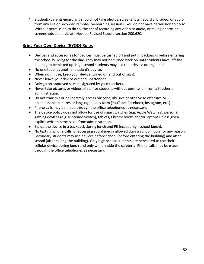4. Students/parents/guardians should not take photos, screenshots, record any video, or audio from any live or recorded remote-live-learning sessions. You do not have permission to do so. Without permission to do so, the act of recording any video or audio, or taking photos or screenshots could violate Nevada Revised Statute section 200.620.

# **Bring Your Own Device (BYOD) Rules**

- Devices and accessories for devices must be turned off and put in backpacks before entering the school building for the day. They may not be turned back on until students have left the building to be picked up. High school students may use their device during lunch.
- No one touches another student's device.
- When not in use, keep your device turned off and out of sight.
- Never leave your device out and unattended.
- Only go on approved sites designated by your teachers.
- Never take pictures or videos of staff or students without permission from a teacher or administration.
- Do not transmit or deliberately access obscene, abusive or otherwise offensive or objectionable pictures or language in any form (YouTube, Facebook, Instagram, etc.).
- Phone calls may be made through the office telephones as necessary.
- The device policy does not allow for use of smart watches (e.g. Apple Watches), personal gaming devices (e.g. Nintendo Switch), tablets, Chromebooks and/or laptops unless given explicit written permission from administration.
- Zip up the device in a backpack during lunch and PE (except high school lunch).
- No texting, phone calls, or accessing social media allowed during school hours for any reason. Secondary students may use devices before school (before entering the building) and after school (after exiting the building). Only high school students are permitted to use their cellular device during lunch and only while inside the cafeteria. Phone calls may be made through the office telephones as necessary.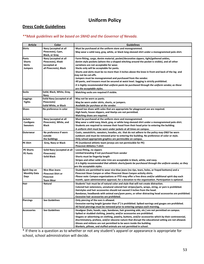# **Uniform Policy**

# **Dress Code Guidelines**

### *\*\*Mask guidelines will be based on SNHD and the Governor of Nevada.*

| <b>Article</b>                       | Color                                       | <b>Guidelines</b>                                                                                                                                                                              |
|--------------------------------------|---------------------------------------------|------------------------------------------------------------------------------------------------------------------------------------------------------------------------------------------------|
| <b>Shirts</b>                        | Navy (accepted at all                       | Must be purchased at the uniform store and monogrammed.                                                                                                                                        |
|                                      | Pinecrests), Cyan,<br><b>Black, or Gray</b> | May wear a solid navy, gray, white, or black long-sleeved shirt under a monogrammed polo shirt.                                                                                                |
| Pants                                | Navy (accepted at all                       | Form-fitting, cargo, denim material, pocket/decorative zippers, tight/gathered ankles,                                                                                                         |
| <b>Shorts</b>                        | Pinecrests), Khaki                          | denim style pockets (where the u-shaped stitching around the pocket is visible), and all other                                                                                                 |
| <b>Skirts</b>                        | (accepted at                                | variations are not acceptable for wear.                                                                                                                                                        |
| <b>Jumpers</b>                       | all Pinecrests), Black                      | Slacks only will be acceptable for pants.                                                                                                                                                      |
|                                      |                                             | Shorts and skirts must be no more than 3 inches above the knee in front and back of the leg and                                                                                                |
|                                      |                                             | may not be cut-offs.                                                                                                                                                                           |
|                                      |                                             | Jumpers must be monogrammed and purchased from the vendor.                                                                                                                                     |
|                                      |                                             | All pants, and trousers must be secured at waist level. Sagging is strictly prohibited.                                                                                                        |
|                                      |                                             | It is highly recommended that uniform pants be purchased through the uniform vendor, as these                                                                                                  |
|                                      |                                             | are the acceptable styles.                                                                                                                                                                     |
| Socks                                | Solid, Black, White, Gray,<br>Navy          | Matching socks are required if visible.                                                                                                                                                        |
| Leggings                             | <b>Solid Navy (accepted at all</b>          | May not be worn as pants.                                                                                                                                                                      |
| <b>Tights</b>                        | Pinecrests)                                 | May be worn under skirts, shorts, or jumpers.                                                                                                                                                  |
|                                      | <b>Solid White, or Black</b>                | Available for purchase at the vendor.                                                                                                                                                          |
| <b>Shoes</b>                         | No preference in color                      | Closed toe shoes with soles that are appropriate for playground use are required.                                                                                                              |
|                                      |                                             | High heels, house slippers, and Heelys are not permitted.                                                                                                                                      |
|                                      |                                             | Matching shoes are required.                                                                                                                                                                   |
| <b>Jackets</b>                       | Navy (accepted at all                       | Must be purchased at the uniform store and monogrammed.                                                                                                                                        |
| Cardigans                            | Pinecrests), White, and                     | May wear a solid navy, black, gray, or white long-sleeved shirt under a monogrammed polo shirt.                                                                                                |
| <b>Sweaters</b>                      | Black                                       | Students are required to remove their hood from their head prior to entering the building.                                                                                                     |
|                                      |                                             | A uniform shirt must be worn under jackets at all times on campus.                                                                                                                             |
| <b>Outerwear</b>                     | No preference if worn<br>outside            | Coats, sweatshirts, sweaters, hoodies, etc. that do not adhere to the policy may ONLY be worn<br>outdoors and must be removed prior to entering the building. No preference of color or style. |
|                                      | the buildings                               | Only school appropriate graphics are permissible on campus.                                                                                                                                    |
| <b>PE Shirt</b>                      | Grey, Navy or Black                         | PE (numbered athletic team jerseys are not permissible for PE)                                                                                                                                 |
|                                      |                                             | <b>Pinecrest Athletics T-shirt</b>                                                                                                                                                             |
| <b>PE Shorts</b>                     | Solid Navy (accepted at all                 | Loose-fitting, no zippers                                                                                                                                                                      |
| <b>PE Pants</b>                      | Pinecrests)                                 | Limited branding if not purchased from vendor                                                                                                                                                  |
|                                      | Solid Black                                 | Shorts must be fingertip length                                                                                                                                                                |
|                                      |                                             | Stripes and other solid color trim are acceptable in black, white, and navy.                                                                                                                   |
|                                      |                                             | It is highly recommended that athletic shorts/pants be purchased through the uniform vendor, as they                                                                                           |
|                                      |                                             | are the acceptable styles.                                                                                                                                                                     |
| Spirit Day on<br><b>Monthly Data</b> | <b>Nice Blue Jeans</b>                      | Students are permitted to wear nice blue jeans (no rips, tears, holes, or frayed bottoms) and a<br>Pinecrest Sloan Canyon or other Pinecrest Sloan Canyon activity shirts.                     |
| Days                                 | <b>Pinecrest Shirt or</b><br>Pinecrest      | Please note: Campus organizations or PTO may offer a free dress and/or additional spirit day each                                                                                              |
|                                      | <b>Team Wear</b>                            | month, upon administrative approval, for a donation to the organization. Participation is optional.                                                                                            |
| Hair                                 | <b>Natural</b>                              | Students' hair must be of natural color and style that will not create distraction.                                                                                                            |
|                                      |                                             | Colored hair extensions, unnatural colored hair stripes/parts, wraps, string, or yarn is prohibited.                                                                                           |
|                                      |                                             | Hairstyles and hair accessories should not exceed 3 inches from the head.                                                                                                                      |
|                                      |                                             | Bandanas, headbands with animal ears/pom poms, or other distracting head accessories are prohibited.                                                                                           |
|                                      |                                             | Excessive hair accessories are prohibited.                                                                                                                                                     |
| <b>Piercings</b>                     | <b>See Guidelines</b>                       | Only piercing of the ears is allowed.                                                                                                                                                          |
|                                      |                                             | Excessive earring length (greater than 2") is prohibited. Spiked earrings and gauges are prohibited.                                                                                           |
|                                      |                                             | All facial piercings must be removed prior to entering campus each morning.                                                                                                                    |
| <b>Accessories</b>                   | <b>See Guidelines</b>                       | Headgear (hats, hoods, caps, bandanas, hair grooming aids, etc.) are not permitted on campus.                                                                                                  |
|                                      |                                             | Spiked or studded clothing, jewelry, and/or accessories are prohibited.                                                                                                                        |
|                                      |                                             | Slogans or advertising on clothing, jewelry, buttons, and/or accessories which by their controversial,                                                                                         |
|                                      |                                             | discriminatory, profane, and/or obscene nature that disrupt the educational setting are not allowed.                                                                                           |
|                                      |                                             | Gloves and mittens are not permitted to be worn inside the building.<br>Blankets, pillows, and stuffed animals are not permitted in school.                                                    |

\* If there is a question as to whether or not any student's apparel or appearance is appropriate for school, school administration will decide.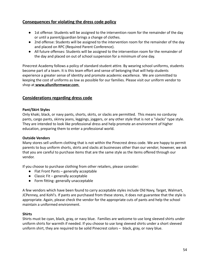# **Consequences for violating the dress code policy**

- 1st offense: Students will be assigned to the intervention room for the remainder of the day or until a parent/guardian brings a change of clothes.
- 2nd offense: Students will be assigned to the intervention room for the remainder of the day and placed on RPC (Required Parent Conference).
- All future offenses: Students will be assigned to the intervention room for the remainder of the day and placed on out of school suspension for a minimum of one day.

Pinecrest Academy follows a policy of standard student attire. By wearing school uniforms, students become part of a team. It is this team effort and sense of belonging that will help students experience a greater sense of identity and promote academic excellence. We are committed to keepin[g](http://www.alluniformwear.com/) the cost of uniforms as low as possible for our families. Please visit our uniform vendor to shop at **[www.alluniformwear.com](http://www.alluniformwear.com)**.

## **Considerations regarding dress code**

### **Pant/Skirt Styles**

Only khaki, black, or navy pants, shorts, skirts, or slacks are permitted. This means no corduroy pants, cargo pants, skinny jeans, leggings, joggers, or any other style that is not a "slacks" type style. They are intended to look like professional dress and help promote an environment of higher education, preparing them to enter a professional world.

### **Outside Vendors**

Many stores sell uniform clothing that is not within the Pinecrest dress code. We are happy to permit parents to buy uniform shorts, skirts and slacks at businesses other than our vendor; however, we ask that you are careful to purchase items that are the same style as the items offered through our vendor.

If you choose to purchase clothing from other retailers, please consider:

- Flat Front Pants generally acceptable
- Classic Fit generally acceptable
- Form fitting- generally unacceptable

A few vendors which have been found to carry acceptable styles include Old Navy, Target, Walmart, JCPenney, and Kohl's. If pants are purchased from these stores, it does not guarantee that the style is appropriate. Again, please check the vendor for the appropriate cuts of pants and help the school maintain a uniformed environment.

#### **Shirts**

Shirts must be cyan, black, gray, or navy blue. Families are welcome to use long sleeved shirts under uniform shirts for warmth if needed. If you choose to use long sleeved shirts under a short sleeved uniform shirt, they are required to be solid Pinecrest colors – black, gray, or navy blue.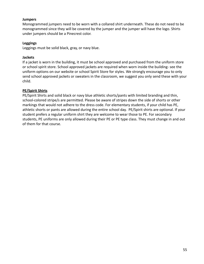#### **Jumpers**

Monogrammed jumpers need to be worn with a collared shirt underneath. These do not need to be monogrammed since they will be covered by the jumper and the jumper will have the logo. Shirts under jumpers should be a Pinecrest color.

#### **Leggings**

Leggings must be solid black, gray, or navy blue.

#### **Jackets**

If a jacket is worn in the building, it must be school approved and purchased from the uniform store or school spirit store. School approved jackets are required when worn inside the building- see the uniform options on our website or school Spirit Store for styles. We strongly encourage you to only send school approved jackets or sweaters in the classroom, we suggest you only send these with your child.

#### **PE/Spirit Shirts**

PE/Spirit Shirts and solid black or navy blue athletic shorts/pants with limited branding and thin, school-colored stripe/s are permitted. Please be aware of stripes down the side of shorts or other markings that would not adhere to the dress code. For elementary students, if your child has PE, athletic shorts or pants are allowed during the entire school day. PE/Spirit shirts are optional. If your student prefers a regular uniform shirt they are welcome to wear those to PE. For secondary students, PE uniforms are only allowed during their PE or PE type class. They must change in and out of them for that course.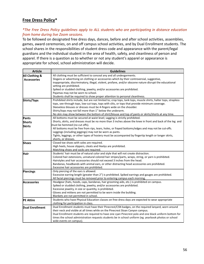## **Free Dress Policy\***

#### *\*The Free Dress Policy guidelines apply to ALL students who are participating in distance education from home during live Zoom sessions.*

To be followed on designated free dress days, dances, before and after school activities, assemblies, games, award ceremonies, on and off campus school activities, and by Dual Enrollment students. The school shares in the responsibilities of student dress code and appearance with the parent/legal guardians and the individual student in the area of health, safety, and cleanliness of person and apparel. If there is a question as to whether or not any student's apparel or appearance is appropriate for school, school administration will decide.

| <b>Article</b>         | <b>Guidelines</b>                                                                                              |
|------------------------|----------------------------------------------------------------------------------------------------------------|
| All Clothing &         | All clothing must be sufficient to conceal any and all undergarments.                                          |
| <b>Accessories</b>     | Slogans or advertising on clothing or accessories which by their controversial, suggestive,                    |
|                        | inappropriate, discriminatory, illegal, violent, profane, and/or obscene nature disrupt the educational        |
|                        | setting are prohibited.                                                                                        |
|                        | Spiked or studded clothing, jewelry, and/or accessories are prohibited.                                        |
|                        | Pajamas may not be worn to school.                                                                             |
|                        | Students shall be required to show proper attention to personal cleanliness.                                   |
| Shirts/Tops            | Prohibited shirts include, but are not limited to; crop tops, tank tops, muscle shirts, halter tops, strapless |
|                        | tops, see-through tops, low-cut tops, tops with slits, or tops that provide minimum coverage.                  |
|                        | Sleeveless blouses or dresses must be 4-fingers wide on the shoulder.                                          |
|                        | Shirts/tops may not fall more than 1" below the underarm.                                                      |
|                        | No skin may show between the bottom of shirt/blouse and top of pants or skirts/shorts at any time.             |
| Pants                  | All bottoms must be secured at waist level; sagging is strictly prohibited.                                    |
| <b>Shorts</b>          | Shorts, skirts, and dresses must be no more than 3 inches above the knee in front and back of the leg and      |
| <b>Skirts</b>          | must be hemmed (no cut offs).                                                                                  |
|                        | All bottoms must be free from rips, tears, holes, or frayed bottoms/edges and may not be cut-offs.             |
|                        | Leggings (including jeggings) may not be worn as pants.                                                        |
|                        | Tights, leggings, or other types of hosiery must be accompanied by fingertip length or longer skirts,          |
|                        | shorts, or dresses.                                                                                            |
| <b>Shoes</b>           | Closed toe shoes with soles are required.                                                                      |
|                        | High heels, house slippers, cleats and Heelys are prohibited.                                                  |
|                        | Matching shoes and socks are required.                                                                         |
| Hair                   | Students' hair must be of natural color and style that will not create distraction.                            |
|                        | Colored hair extensions, unnatural colored hair stripes/parts, wraps, string, or yarn is prohibited.           |
|                        | Hairstyles and hair accessories should not exceed 3 inches from the head.                                      |
|                        | Bandanas, headbands with animal ears, or other distracting head accessories are prohibited.                    |
|                        | Excessive hair accessories are prohibited.                                                                     |
| Piercings              | Only piercing of the ears is allowed.                                                                          |
|                        | Excessive earring length (greater than 2") is prohibited. Spiked earrings and gauges are prohibited.           |
|                        | All facial piercings must be removed prior to entering campus each morning.                                    |
| <b>Accessories</b>     | Headgear (hats, hoods, caps, bandanas, hair grooming aids, etc.) is prohibited on campus.                      |
|                        | Spiked or studded clothing, jewelry, and/or accessories are prohibited.                                        |
|                        | Excessive jewelry, in size or quantity, is prohibited.                                                         |
|                        | Gloves and mittens are not permitted to be worn inside the building.                                           |
|                        | Blankets are not permitted in school.                                                                          |
| <b>PE Attire</b>       | Students who have Physical Education classes on free dress days are expected to wear appropriate               |
|                        | clothing for participation in class.                                                                           |
| <b>Dual Enrollment</b> | Dual Enrollment students must have their Pinecrest/CSN badges, on the required lanyard, worn around            |
|                        | their neck and visible at all times while on the Pinecrest Sloan Canyon campus.                                |
|                        | Dual Enrollment students are required to have one cyan Pinecrest polo and one black uniform bottom for         |
|                        | times the school administration requests students be in school uniform (eg. yearbook photos or school          |
|                        | wide events on campus).                                                                                        |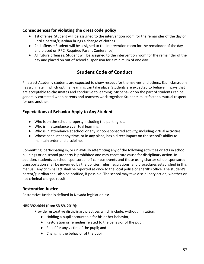### **Consequences for violating the dress code policy**

- 1st offense: Student will be assigned to the intervention room for the remainder of the day or until a parent/guardian brings a change of clothes.
- 2nd offense: Student will be assigned to the intervention room for the remainder of the day and placed on RPC (Required Parent Conference).
- All future offenses: Student will be assigned to the intervention room for the remainder of the day and placed on out of school suspension for a minimum of one day.

# **Student Code of Conduct**

Pinecrest Academy students are expected to show respect for themselves and others. Each classroom has a climate in which optimal learning can take place. Students are expected to behave in ways that are acceptable to classmates and conducive to learning. Misbehavior on the part of students can be generally corrected when parents and teachers work together. Students must foster a mutual respect for one another.

## **Expectations of Behavior Apply to Any Student**

- Who is on the school property including the parking lot.
- Who is in attendance at virtual learning.
- Who is in attendance at school or any school-sponsored activity, including virtual activities.
- Whose conduct at any time, or in any place, has a direct impact on the school's ability to maintain order and discipline.

Committing, participating in, or unlawfully attempting any of the following activities or acts in school buildings or on school property is prohibited and may constitute cause for disciplinary action. In addition, students at school-sponsored, off campus events and those using charter school sponsored transportation shall be governed by the policies, rules, regulations, and procedures established in this manual. Any criminal act shall be reported at once to the local police or sheriff's office. The student's parent/guardian shall also be notified, if possible. The school may take disciplinary action, whether or not criminal charges result.

### **Restorative Justice**

Restorative Justice is defined in Nevada legislation as:

#### NRS 392.4644 (from SB 89, 2019):

Provide restorative disciplinary practices which include, without limitation:

- Holding a pupil accountable for his or her behavior;
- Restoration or remedies related to the behavior of the pupil;
- Relief for any victim of the pupil; and
- Changing the behavior of the pupil.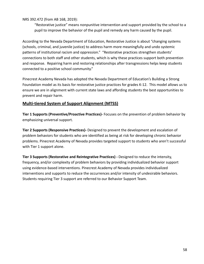NRS 392.472 (from AB 168, 2019):

"Restorative justice" means nonpunitive intervention and support provided by the school to a pupil to improve the behavior of the pupil and remedy any harm caused by the pupil.

According to the Nevada Department of Education, Restorative Justice is about "changing systems (schools, criminal, and juvenile justice) to address harm more meaningfully and undo systemic patterns of institutional racism and oppression." "Restorative practices strengthen students' connections to both staff and other students, which is why these practices support both prevention and response. Repairing harm and restoring relationships after transgressions helps keep students connected to a positive school community."

Pinecrest Academy Nevada has adopted the Nevada Department of Education's Building a Strong Foundation model as its basis for restorative justice practices for grades K-12. This model allows us to ensure we are in alignment with current state laws and affording students the best opportunities to prevent and repair harm.

### **Multi-tiered System of Support Alignment (MTSS)**

**Tier 1 Supports (Preventive/Proactive Practices)-** Focuses on the prevention of problem behavior by emphasizing universal support.

**Tier 2 Supports (Responsive Practices)-** Designed to prevent the development and escalation of problem behaviors for students who are identified as being at risk for developing chronic behavior problems. Pinecrest Academy of Nevada provides targeted support to students who aren't successful with Tier 1 support alone.

**Tier 3 Supports (Restorative and Reintegrative Practices) -** Designed to reduce the intensity, frequency, and/or complexity of problem behaviors by providing individualized behavior support using evidence-based interventions. Pinecrest Academy of Nevada provides individualized interventions and supports to reduce the occurrences and/or intensity of undesirable behaviors. Students requiring Tier 3 support are referred to our Behavior Support Team.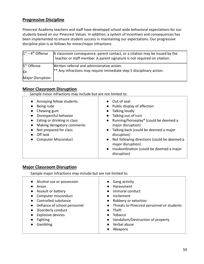## **Progressive Discipline**

Pinecrest Academy teachers and staff have developed school-wide behavioral expectations for our students based on our Pinecrest Values. In addition, a system of incentives and consequences has been implemented to ensure student success in maintaining our expectations. Our progressive discipline plan is as follows for minor/major infractions:

| $1st - 4th$ Offense     | A classroom consequence, parent contact, or a citation may be issued by the<br>teacher or staff member. A parent signature is not required on citation. |
|-------------------------|---------------------------------------------------------------------------------------------------------------------------------------------------------|
| 5 <sup>th</sup> Offense | Written referral and administrative action.                                                                                                             |
| lOr                     | $ **$ Any infractions may require immediate step 5 disciplinary action.                                                                                 |
| Major Disruption        |                                                                                                                                                         |

### **Minor Classroom Disruption**

Sample minor infractions may include but are not limited to:

| • Annoying fellow students<br>Being rude<br>Chewing gum<br>Disrespectful behavior<br>Eating or drinking in class<br>Making derogatory comments<br>Not prepared for class<br>Off task<br><b>Computer Misconduct</b> | • Out of seat<br>Public display of affection<br>$\bullet$<br>Talking loudly<br>Talking out of turn<br>Running/horseplay* (could be deemed a<br>$\bullet$<br>major disruption)<br>Talking back (could be deemed a major<br>$\bullet$<br>disruption)<br>Not following directions (could be deemed a<br>$\bullet$ |
|--------------------------------------------------------------------------------------------------------------------------------------------------------------------------------------------------------------------|----------------------------------------------------------------------------------------------------------------------------------------------------------------------------------------------------------------------------------------------------------------------------------------------------------------|
|--------------------------------------------------------------------------------------------------------------------------------------------------------------------------------------------------------------------|----------------------------------------------------------------------------------------------------------------------------------------------------------------------------------------------------------------------------------------------------------------------------------------------------------------|

### **Major Classroom Disruption**

Sample major infractions may include but are not limited to:

| Alcohol use or possession<br>Arson<br>Assault or battery<br>$\bullet$<br>Computer misconduct<br>$\bullet$<br>Controlled substance<br>Defiance of school personnel<br>$\bullet$<br>Disorderly conduct<br>$\bullet$<br><b>Explosive devices</b><br>$\bullet$<br><b>Fighting</b><br>$\bullet$<br>Gambling | Gang activity<br>$\bullet$<br>Harassment<br>Immoral conduct<br>$\bullet$<br>Incitement<br>$\bullet$<br>Robbery or extortion<br>$\bullet$<br>• Threats to Pinecrest personnel or students<br>Theft<br>$\bullet$<br>Tobacco<br>$\bullet$<br>Vandalism/Destruction of property<br>$\bullet$<br>Verbal abuse |
|--------------------------------------------------------------------------------------------------------------------------------------------------------------------------------------------------------------------------------------------------------------------------------------------------------|----------------------------------------------------------------------------------------------------------------------------------------------------------------------------------------------------------------------------------------------------------------------------------------------------------|
|                                                                                                                                                                                                                                                                                                        | Weapons                                                                                                                                                                                                                                                                                                  |
|                                                                                                                                                                                                                                                                                                        |                                                                                                                                                                                                                                                                                                          |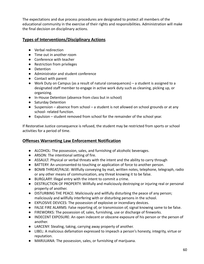The expectations and due process procedures are designated to protect all members of the educational community in the exercise of their rights and responsibilities. Administration will make the final decision on disciplinary actions.

# **Types of Interventions/Disciplinary Actions**

- Verbal redirection
- Time out in another room
- Conference with teacher
- Restriction from privileges
- Detention
- Administrator and student conference
- Contact with parent
- Work Duty on Campus (as a result of natural consequences) a student is assigned to a designated staff member to engage in active work duty such as cleaning, picking up, or organizing.
- In-House Detention (absence from class but in school)
- Saturday Detention
- Suspension absence from school a student is not allowed on school grounds or at any school- related function.
- Expulsion student removed from school for the remainder of the school year.

If Restorative Justice consequence is refused, the student may be restricted from sports or school activities for a period of time.

# **Offenses Warranting Law Enforcement Notification**

- ALCOHOL: The possession, sales, and furnishing of alcoholic beverages.
- ARSON: The intentional setting of fire.
- ASSAULT: Physical or verbal threats with the intent and the ability to carry through
- BATTERY: An unconsented-to touching or application of force to another person.
- BOMB THREAT/FALSE: Willfully conveying by mail, written notes, telephone, telegraph, radio or any other means of communication, any threat knowing it to be false.
- BURGLARY: Illegal entry with the intent to commit a crime.
- DESTRUCTION OF PROPERTY: Willfully and maliciously destroying or injuring real or personal property of another.
- DISTURBING THE PEACE: Maliciously and willfully disturbing the peace of any person; maliciously and willfully interfering with or disturbing persons in the school.
- EXPLOSIVE DEVICES: The possession of explosive or incendiary devices.
- FALSE FIRE ALARMS: False reporting of, or transmission of, signal knowing same to be false.
- FIREWORKS: The possession of, sales, furnishing, use or discharge of fireworks.
- INDECENT EXPOSURE: An open indecent or obscene exposure of his person or the person of another.
- LARCENY: Stealing, taking, carrying away property of another.
- LIBEL: A malicious defamation expressed to impeach a person's honesty, integrity, virtue or reputation.
- MARIJUANA: The possession, sales, or furnishing of marijuana.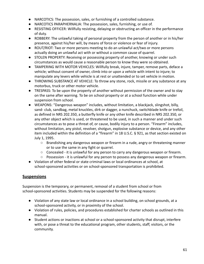- NARCOTICS: The possession, sales, or furnishing of a controlled substance.
- NARCOTICS PARAPHERNALIA: The possession, sales, furnishing, or use of.
- RESISTING OFFICER: Willfully resisting, delaying or obstructing an officer in the performance of duty.
- ROBBERY: The unlawful taking of personal property from the person of another or in his/her presence, against his/her will, by means of force or violence or fear of injury.
- ROUT/RIOT: Two or more persons meeting to do an unlawful act/two or more persons actually doing an unlawful act with or without a common cause of quarrel.
- STOLEN PROPERTY: Receiving or possessing property of another, knowing or under such circumstances as would cause a reasonable person to know they were so obtained.
- TAMPERING WITH MOTOR VEHICLES: Willfully break, injure, tamper, remove parts, deface a vehicle; without consent of owner, climb into or upon a vehicle with intent to injure; to manipulate any levers while vehicle is at rest or unattended or to set vehicle in motion.
- THROWING SUBSTANCE AT VEHICLE: To throw any stone, rock, missile or any substance at any motorbus, truck or other motor vehicle.
- TRESPASS: To be upon the property of another without permission of the owner and to stay on the same after warning. To be on school property or at a school function while under suspension from school.
- WEAPONS: "Dangerous weapon" includes, without limitation, a blackjack, slingshot, billy, sand- club, sandbag, metal knuckles, dirk or dagger, a nunchuck, switchblade knife or trefoil, as defined in NRS 202.350, a butterfly knife or any other knife described in NRS 202.350, or any other object which is used, or threatened to be used, in such a manner and under such circumstances as to pose a threat of, or cause, bodily injury to a person. "Firearm" includes, without limitation, any pistol, revolver, shotgun, explosive substance or device, and any other item included within the definition of a "firearm" in 18 U.S.C. § 921, as that section existed on July 1, 1995.
	- Brandishing any dangerous weapon or firearm in a rude, angry or threatening manner or to use the same in any fight or quarrel.
	- $\circ$  Concealed it is unlawful for any person to carry any dangerous weapon or firearm.
	- Possession it is unlawful for any person to possess any dangerous weapon or firearm.
- Violation of other federal or state criminal laws or local ordinances at school, at school-sponsored activities or on school-sponsored transportation is prohibited.

### **Suspensions**

Suspension is the temporary, or permanent, removal of a student from school or from school-sponsored activities. Students may be suspended for the following reasons:

- Violation of any state law or local ordinance in a school building, on school grounds, at a school-sponsored activity, or in proximity of the school.
- Violation of rules, policies, and procedures established for charter schools as outlined in this manual.
- Student actions or inactions at school or a school-sponsored activity that disrupt, interfere with, or pose a threat to the educational program, other students, staff, visitors, or the community.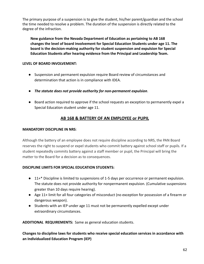The primary purpose of a suspension is to give the student, his/her parent/guardian and the school the time needed to resolve a problem. The duration of the suspension is directly related to the degree of the infraction.

**New guidance from the Nevada Department of Education as pertaining to AB 168 changes the level of board involvement for Special Education Students under age 11. The board is the decision-making authority for student suspension and expulsion for Special Education Students after hearing evidence from the Principal and Leadership Team.**

### **LEVEL OF BOARD INVOLVEMENT:**

- Suspension and permanent expulsion require Board review of circumstances and determination that action is in compliance with IDEA.
- *The statute does not provide authority for non-permanent expulsion*.
- Board action required to approve if the school requests an exception to permanently expel a Special Education student under age 11.

### **AB 168 & BATTERY OF AN EMPLOYEE or PUPIL**

#### **MANDATORY DISCIPLINE IN NRS**:

Although the battery of an employee does not require discipline according to NRS, the PAN Board reserves the right to suspend or expel students who commit battery against school staff or pupils. If a student repeatedly commits battery against a staff member or pupil, the Principal will bring the matter to the Board for a decision as to consequences.

### **DISCIPLINE LIMITS FOR SPECIAL EDUCATION STUDENTS:**

- 11+\* Discipline is limited to suspensions of 1-5 days per occurrence or permanent expulsion. The statute does not provide authority for nonpermanent expulsion. (Cumulative suspensions greater than 10 days require hearing).
- Age 11+ limit for all four categories of misconduct (no exception for possession of a firearm or dangerous weapon).
- Students with an IEP under age 11 must not be permanently expelled except under extraordinary circumstances.

**ADDITIONAL REQUIREMENTS:** Same as general education students.

**Changes to discipline laws for students who receive special education services in accordance with an Individualized Education Program (IEP)**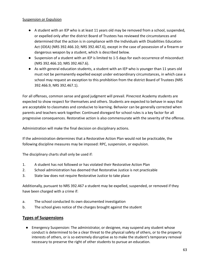#### Suspension or Expulsion

- A student with an IEP who is at least 11 years old may be removed from a school, suspended, or expelled only after the district Board of Trustees has reviewed the circumstances and determined that the action is in compliance with the Individuals with Disabilities Education Act (IDEA) (NRS 392.466.10; NRS 392.467.6), except in the case of possession of a firearm or dangerous weapon by a student, which is described below.
- Suspension of a student with an IEP is limited to 1-5 days for each occurrence of misconduct (NRS 392.466.10; NRS 392.467.6).
- As with general education students, a student with an IEP who is younger than 11 years old must not be permanently expelled except under extraordinary circumstances, in which case a school may request an exception to this prohibition from the district Board of Trustees (NRS 392.466.9, NRS 392.467.1).

For all offenses, common sense and good judgment will prevail. Pinecrest Academy students are expected to show respect for themselves and others. Students are expected to behave in ways that are acceptable to classmates and conducive to learning. Behavior can be generally corrected when parents and teachers work together. Continued disregard for school rules is a key factor for all progressive consequences. Restorative action is also commensurate with the severity of the offense.

Administration will make the final decision on disciplinary actions.

If the administration determines that a Restorative Action Plan would not be practicable, the following discipline measures may be imposed: RPC, suspension, or expulsion.

The disciplinary charts shall only be used if:

- 1. A student has not followed or has violated their Restorative Action Plan
- 2. School administration has deemed that Restorative Justice is not practicable
- 3. State law does not require Restorative Justice to take place

Additionally, pursuant to NRS 392.467 a student may be expelled, suspended, or removed if they have been charged with a crime if:

- a. The school conducted its own documented investigation
- b. The school gives notice of the charges brought against the student

### **Types of Suspensions**

● Emergency Suspension: The administrator, or designee, may suspend any student whose conduct is determined to be a clear threat to the physical safety of others, or to the property interests of others, or is so extremely disruptive as to make the student's temporary removal necessary to preserve the right of other students to pursue an education.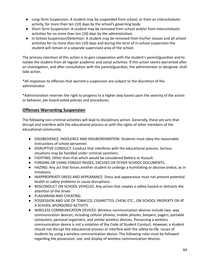- Long-Term Suspension: A student may be suspended from school, or from an interscholastic activity, for more than ten (10) days by the school's governing body.
- Short-Term Suspension: A student may be removed from school and/or from interscholastic activities for no more than ten (10) days by the administration.
- In-School Suspension/Detention: A student may be removed from his/her classes and all school activities for no more than ten (10) days and during the term of in-school suspension the student will remain in a separate supervised area of the school.

The primary intention of this action is to gain cooperation with the student's parent/guardian and to isolate the student from all regular academic and social activities. If this action seems warranted after an investigation, and after consultation with the parent/guardian, the administrator or designee, shall take action.

\*All responses to offenses that warrant a suspension are subject to the discretion of the administrator.

\*Administration reserves the right to progress to a higher step based upon the severity of the action or behavior, per board-voted policies and procedures.

## **Offenses Warranting Suspension**

The following non-criminal activities will lead to disciplinary action. Generally, these are acts that disrupt and interfere with the educational process or with the rights of other members of the educational community.

- DISOBEDIENCE, INSOLENCE AND INSUBORDINATION: Students must obey the reasonable instructions of school personnel.
- DISRUPTIVE CONDUCT: Conduct that interferes with the educational process. Serious situations may be handled under criminal sanctions.
- FIGHTING: Other than that which would be considered Battery or Assault.
- FORGING OR USING FORGED PASSES, EXCUSES OR OTHER SCHOOL DOCUMENTS.
- HAZING: Any act that forces another student to undergo a humiliating or abusive ordeal, as in initiations.
- INAPPROPRIATE DRESS AND APPEARANCE: Dress and appearance must not present potential health or safety problems or cause disruptions.
- MISCONDUCT ON SCHOOL VEHICLES: Any action that creates a safety hazard or distracts the attention of the driver.
- PLAGIARISM AND CHEATING.
- POSSESSION AND USE OF TOBACCO, CIGARETTES, CHEW, ETC., ON SCHOOL PROPERTY OR AT A SCHOOL-SPONSORED ACTIVITY.
- WIRELESS COMMUNICATION DEVICES: Wireless communication devices include two- way communication devices, including cellular phones, mobile phones, beepers, pagers, portable computers, personal organizers, and similar wireless devices. Possessing a wireless communication device is not a violation of the Code of Student Conduct. However, a student should not disrupt the educational process or interfere with the safety-to-life issues of students by using a wireless communication device. The following rules must be followed regarding the possession, use, and display of wireless communication devices.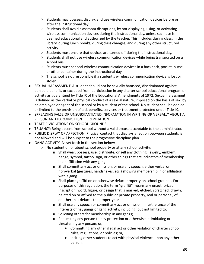- Students may possess, display, and use wireless communication devices before or after the instructional day.
- $\circ$  Students shall avoid classroom disruptions, by not displaying, using, or activating wireless communication devices during the instructional day, unless such use is deemed educational and authorized by the teacher. This includes during class, in the library, during lunch breaks, during class changes, and during any other structured activity.
- $\circ$  Students must ensure that devices are turned off during the instructional day.
- Students shall not use wireless communication devices while being transported on a school bus.
- $\circ$  Students must conceal wireless communication devices in a backpack, pocket, purse, or other container during the instructional day.
- The school is not responsible if a student's wireless communication device is lost or stolen.
- SEXUAL HARASSMENT: A student should not be sexually harassed, discriminated against, denied a benefit, or excluded from participation in any charter school educational program or activity as guaranteed by Title IX of the Educational Amendments of 1972. Sexual harassment is defined as the verbal or physical conduct of a sexual nature, imposed on the basis of sex, by an employee or agent of the school or by a student of the school. No student shall be denied or limited to the provision of aid, benefits, services or treatment protected under Title IX.
- SPREADING FALSE OR UNSUBSTANTIATED INFORMATION IN WRITING OR VERBALLY ABOUT A PERSON AND HARMING HIS/HER REPUTATION.
- TRAFFIC VIOLATIONS ON SCHOOL GROUNDS.
- TRUANCY: Being absent from school without a valid excuse acceptable to the administrator.
- PUBLIC DISPLAY OF AFFECTION: Physical contact that displays affection between students is not allowed and will be subject to the progressive discipline plan.
- GANG ACTIVITY: As set forth in the section below:
	- No student on or about school property or at any school activity:
		- Shall wear, possess, use, distribute, or sell any clothing, jewelry, emblem, badge, symbol, tattoo, sign, or other things that are indicators of membership in or affiliation with any gang.
		- Shall commit any act or omission, or use any speech, either verbal or non-verbal (gestures, handshakes, etc.) showing membership in or affiliation with a gang.
		- Shall place graffiti on or otherwise deface property on school grounds. For purposes of this regulation, the term "graffiti" means any unauthorized inscription, word, figure, or design that is marked, etched, scratched, drawn, painted on or affixed to the public or private property, real or personal, of another that defaces the property; or
		- Shall use any speech or commit any act or omission in furtherance of the interests of nay gangs or gang activity, including, but not limited to:
		- Soliciting others for membership in any gangs;
		- Requesting any person to pay protection or otherwise intimidating or threatening any person; or,
			- Committing any other illegal act or other violation of charter school rules, regulations, or policies; or,
			- Inciting other students to act with physical violence upon any other person.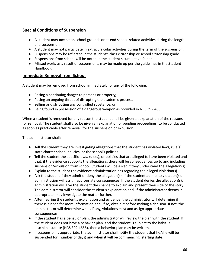## **Special Conditions of Suspension**

- A student **may not** be on school grounds or attend school-related activities during the length of a suspension.
- A student may not participate in extracurricular activities during the term of the suspension.
- Suspensions may be reflected in the student's class citizenship or school citizenship grade.
- Suspensions from school will be noted in the student's cumulative folder.
- Missed work, as a result of suspensions, may be made up per the guidelines in the Student Handbook.

### **Immediate Removal from School**

A student may be removed from school immediately for any of the following:

- Posing a continuing danger to persons or property,
- Posing an ongoing threat of disrupting the academic process,
- Selling or distributing any controlled substance, or
- Being found in possession of a dangerous weapon as provided in NRS 392.466.

When a student is removed for any reason the student shall be given an explanation of the reasons for removal. The student shall also be given an explanation of pending proceedings, to be conducted as soon as practicable after removal, for the suspension or expulsion.

The administrator shall:

- Tell the student they are investigating allegations that the student has violated laws, rule(s), state charter school policies, or the school's policies.
- Tell the student the specific laws, rule(s), or policies that are alleged to have been violated and that, if the evidence supports the allegations, there will be consequences up to and including suspension/expulsion from school. Students will be asked if they understand the allegation(s).
- Explain to the student the evidence administration has regarding the alleged violation(s).
- Ask the student if they admit or deny the allegation(s). If the student admits to violation(s), administration will assign appropriate consequences. If the student denies the allegation(s), administration will give the student the chance to explain and present their side of the story. The administrator will consider the student's explanation and, if the administrator deems it appropriate, may investigate the matter further.
- After hearing the student's explanation and evidence, the administrator will determine if there is a need for more information and, if so, obtain it before making a decision. If not, the administrator will determine what, if any, violations exist and assign appropriate consequences.
- If the student has a behavior plan, the administrator will review the plan with the student. If the student does not have a behavior plan, and the student is subject to the habitual discipline statute (NRS 392.4655), then a behavior plan may be written.
- If suspension is appropriate, the administrator shall notify the student that he/she will be suspended for (number of days) and when it will be commencing (starting date).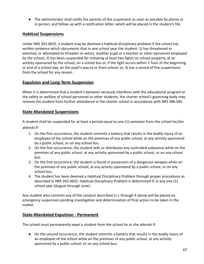● The administrator shall notify the parents of the suspension as soon as possible by phone or in person, and follow up with a notification letter, which will be placed in the student's file.

### **Habitual Suspensions**

Under NRS 392.4655, a student may be deemed a habitual disciplinary problem if the school has written evidence which documents that in one school year the student: 1) has threatened or extorted, or attempted to threaten or extort, another pupil or a teacher or other personnel employed by the school; 2) has been suspended for initiating at least two fights on school property, at an activity sponsored by the school, on a school bus or, if the fight occurs within 1 hour of the beginning or end of a school day, on the pupil's way to or from school; or, 3) has a record of five suspensions from the school for any reason.

## **Expulsion and Long-Term Suspension**

When it is determined that a student's behavior seriously interferes with the educational program or the safety or welfare of school personnel or other students, the charter school's governing body may remove the student from further attendance in the charter school in accordance with NRS 386.585.

### **State-Mandated Suspensions**

A student shall be suspended for at least a period equal to one (1) semester from the school he/she attends if:

- 1. On the first occurrence, the student commits a battery that results in the bodily injury of an employee of the school while on the premises of any public school, at any activity sponsored by a public school, or on any school bus.
- 2. On the first occurrence, the student sells or distributes any controlled substance while on the premises of any public school, at any activity sponsored by a public school, or on any school bus.
- 3. On the first occurrence, the student is found in possession of a dangerous weapon while on the premises of any public school, at any activity sponsored by a public school, or on any school bus.
- 4. The student has been deemed a Habitual Disciplinary Problem through proper procedures as described in NRS 392.4655. Habitual Disciplinary Problem is determined if, in any one (1) school year (August through June):

Any student who commits any of the conduct described in 1 through 4 above will be placed on emergency suspension pending investigation and determination of final action to be taken in the matter.

### **State-Mandated Expulsion - Permanent**

The school must permanently expel a student from the school he or she attends if:

● On the second occurrence, the student commits a battery that results in the bodily injury of an employee of the school while on the premises of any public school, at any activity sponsored by a public school, or on any school bus;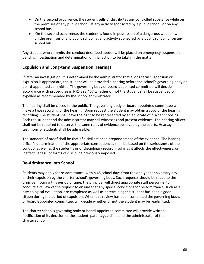- On the second occurrence, the student sells or distributes any controlled substance while on the premises of any public school, at any activity sponsored by a public school, or on any school bus;
- On the second occurrence, the student is found in possession of a dangerous weapon while on the premises of any public school, at any activity sponsored by a public school, or on any school bus.

Any student who commits the conduct described above, will be placed on emergency suspension pending investigation and determination of final action to be taken in the matter.

### **Expulsion and Long-term Suspension Hearings**

If, after an investigation, it is determined by the administrator that a long term suspension or expulsion is appropriate, the student will be provided a hearing before the school's governing body or board-appointed committee. The governing body or board-appointed committee will decide in accordance with procedures in NRS 392.467 whether or not the student shall be suspended or expelled as recommended by the school administrator.

The hearing shall be closed to the public. The governing body or board-appointed committee will make a tape recording of the hearing. Upon request the student may obtain a copy of the hearing recording. The student shall have the right to be represented by an advocate of his/her choosing. Both the student and the administrator may call witnesses and present evidence. The hearing officer shall not be required to observe the same rules of evidence observed by the courts. Hearsay testimony of students shall be admissible.

The standard of proof shall be that of a civil action: a preponderance of the evidence. The hearing officer's determination of the appropriate consequences shall be based on the seriousness of the conduct as well as the student's prior disciplinary record insofar as it affects the effectiveness, or ineffectiveness, of forms of discipline previously imposed.

# **Re-Admittance Into School**

Students may apply for re-admittance, within 45 school days from the one-year anniversary day of their expulsion by the charter school's governing body. Such requests should be made to the principal. During this period of time, the principal will direct appropriate staff personnel to conduct a review of the request to ensure that any special conditions for re-admittance, such as a psychological evaluation, are completed as well as determining the student has been a good citizen during the period of expulsion. When this review has been completed the governing body, or board-appointed committee, will decide whether or not the student may be readmitted.

The charter school's governing body or board-appointed committee will provide written notification of its decision to the student, parent/guardian, and the administrator of the charter school.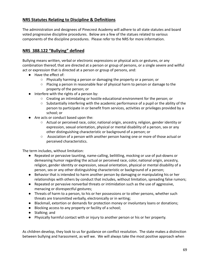## **NRS Statutes Relating to Discipline & Definitions**

The administration and designees of Pinecrest Academy will adhere to all state statutes and board voted progressive discipline procedures. Below are a few of the statues related to various components of the discipline procedures. Please refer to the NRS for more information.

# **NRS 388.122 "Bullying" defined**

Bullying means written, verbal or electronic expressions or physical acts or gestures, or any combination thereof, that are directed at a person or group of persons, or a single severe and willful act or expression that is directed at a person or group of persons, and:

- Have the effect of:
	- Physically harming a person or damaging the property or a person; or
	- Placing a person in reasonable fear of physical harm to person or damage to the property of the person; or
- Interfere with the rights of a person by:
	- Creating an intimidating or hostile educational environment for the person; or
	- Substantially interfering with the academic performance of a pupil or the ability of the person to participate in or benefit from services, activities or privileges provided by a school; or
- Are acts or conduct based upon the:
	- Actual or perceived race, color, national origin, ancestry, religion, gender identity or expression, sexual orientation, physical or mental disability of a person, sex or any other distinguishing characteristic or background of a person; or
	- Association of a person with another person having one or more of those actual or perceived characteristics.

The term includes, without limitation:

- Repeated or pervasive taunting, name-calling, belittling, mocking or use of put-downs or demeaning humor regarding the actual or perceived race, color, national origin, ancestry, religion, gender identity or expression, sexual orientation, physical or mental disability of a person, sex or any other distinguishing characteristic or background of a person;
- Behavior that is intended to harm another person by damaging or manipulating his or her relationships with others by conduct that includes, without limitation, spreading false rumors;
- Repeated or pervasive nonverbal threats or intimidation such as the use of aggressive, menacing or disrespectful gestures;
- Threats of harm to a person, to his or her possessions or to other persons, whether such threats are transmitted verbally, electronically or in writing;
- Blackmail, extortion or demands for protection money or involuntary loans or donations;
- Blocking access to any property or facility of a school;
- Stalking; and
- Physically harmful contact with or injury to another person or his or her property.

As children develop, they look to us for guidance on conflict resolution. The state makes a distinction between bullying and harassment, as will we. We will always take the most positive approach when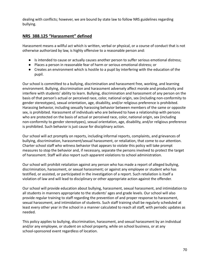dealing with conflicts; however, we are bound by state law to follow NRS guidelines regarding bullying.

### **NRS 388.125 "Harassment" defined**

Harassment means a willful act which is written, verbal or physical, or a course of conduct that is not otherwise authorized by law, is highly offensive to a reasonable person and:

- Is intended to cause or actually causes another person to suffer serious emotional distress;
- Places a person in reasonable fear of harm or serious emotional distress; or
- Creates an environment which is hostile to a pupil by interfering with the education of the pupil.

Our school is committed to a bullying, discrimination and harassment free, working, and learning environment. Bullying, discrimination and harassment adversely affect morale and productivity and interfere with students' ability to learn. Bullying, discrimination and harassment of any person on the basis of that person's actual or perceived race, color, national origin, sex (including non-conformity to gender stereotypes), sexual orientation, age, disability, and/or religious preference is prohibited. Harassing behavior, including sexually harassing behavior between members of the same or opposite sex, is prohibited. Harassment of individuals who are believed to have a relationship with persons who are protected on the basis of actual or perceived race, color, national origin, sex (including non-conformity to gender stereotypes), sexual orientation, age, disability, and/or religious preference is prohibited. Such behavior is just cause for disciplinary action.

Our school will act promptly on reports, including informal reports, complaints, and grievances of bullying, discrimination, harassment/sexual harassment, or retaliation, that come to our attention. Charter school staff who witness behavior that appears to violate this policy will take prompt measures to stop the behavior and, if necessary, separate the persons involved to protect the target of harassment. Staff will also report such apparent violations to school administration.

Our school will prohibit retaliation against any person who has made a report of alleged bullying, discrimination, harassment, or sexual harassment; or against any employee or student who has testified, or assisted, or participated in the investigation of a report. Such retaliation is itself a violation of law and will lead to disciplinary or other appropriate action against the offender.

Our school will provide education about bullying, harassment, sexual harassment, and intimidation to all students in manners appropriate to the students' ages and grade levels. Our school will also provide regular training to staff regarding the prevention of and proper response to harassment, sexual harassment, and intimidation of students. Such staff training shall be regularly scheduled at least every other year in the school in a manner calculated to reach all staff, with periodic updates as needed.

This policy applies to bullying, discrimination, harassment, and sexual harassment by an individual and/or any employee, or student on school property, while on school business, or at any school-sponsored event regardless of location.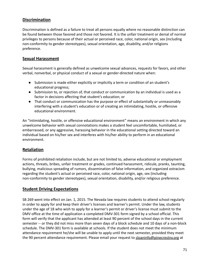### **Discrimination**

Discrimination is defined as a failure to treat all persons equally where no reasonable distinction can be found between those favored and those not favored. It is the unfair treatment or denial of normal privileges to persons because of their actual or perceived race, color, national origin, sex (including non-conformity to gender stereotypes), sexual orientation, age, disability, and/or religions preference.

### **Sexual Harassment**

Sexual harassment is generally defined as unwelcome sexual advances, requests for favors, and other verbal, nonverbal, or physical conduct of a sexual or gender-directed nature when:

- Submission is made either explicitly or implicitly a term or condition of an student's educational progress;
- Submission to, or rejection of, that conduct or communication by an individual is used as a factor in decisions affecting that student's education; or
- That conduct or communication has the purpose or effect of substantially or unreasonably interfering with a student's education or of creating an intimidating, hostile, or offensive educational environment.

An "intimidating, hostile, or offensive educational environment" means an environment in which any unwelcome behavior with sexual connotations makes a student feel uncomfortable, humiliated, or embarrassed, or any aggressive, harassing behavior in the educational setting directed toward an individual based on his/her sex and interferes with his/her ability to perform in an educational environment.

### **Retaliation**

Forms of prohibited retaliation include, but are not limited to, adverse educational or employment actions, threats, bribes, unfair treatment or grades, continued harassment, ridicule, pranks, taunting, bullying, malicious spreading of rumors, dissemination of false information, and organized ostracism regarding the student's actual or perceived race, color, national origin, age, sex (including non-conformity to gender stereotypes), sexual orientation, disability, and/or religious preference.

### **Student Driving Expectations**

SB 269 went into effect on Jan. 1, 2015. The Nevada law requires students to attend school regularly in order to apply for and keep their driver's licenses and learner's permit. Under the law, students under the age of 18 who wish to apply for a learner's permit or driver's license must submit to the DMV office at the time of application a completed DMV-301 form signed by a school official. This form will verify that the applicant has attended at least 90 percent of the school days in the current semester -- or they did not miss more than seven days of a block schedule and 10 days of a non-block schedule. The DMV-301 form is available at schools. If the student does not meet the minimum attendance requirement he/she will be unable to apply until the next semester, provided they meet the 90 percent attendance requirement. Please email your request to [sloaninfo@pinecrestnv.org](mailto:sloaninfo@pinecrestnv.org) at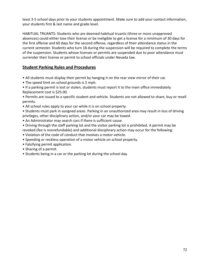least 3-5 school days prior to your students appointment. Make sure to add your contact information, your students first & last name and grade level.

HABITUAL TRUANTS: Students who are deemed habitual truants (three or more unapproved absences) could either lose their license or be ineligible to get a license for a minimum of 30 days for the first offense and 60 days for the second offense, regardless of their attendance status in the current semester. Students who turn 18 during the suspension will be required to complete the terms of the suspension. Students whose licenses or permits are suspended due to poor attendance must surrender their license or permit to school officials under Nevada law.

### **Student Parking Rules and Procedures**

- All students must display their permit by hanging it on the rear view mirror of their car.
- The speed limit on school grounds is 5 mph.
- If a parking permit is lost or stolen, students must report it to the main office immediately. Replacement cost is \$25.00.
- Permits are issued to a specific student and vehicle. Students are not allowed to share, buy or resell permits.
- All school rules apply to your car while it is on school property.
- Students must park in assigned areas. Parking in an unauthorized area may result in loss of driving privileges, other disciplinary action, and/or your car may be towed.
- An Administrator may search cars if there is sufficient cause.
- Driving through the staff parking lot and the visitor parking lot is prohibited. A permit may be revoked (fee is nonrefundable) and additional disciplinary action may occur for the following:
- Violation of the code of conduct that involves a motor vehicle.
- Speeding or reckless operation of a motor vehicle on school property.
- Falsifying permit application.
- Sharing of a permit.
- Students being in a car or the parking lot during the school day.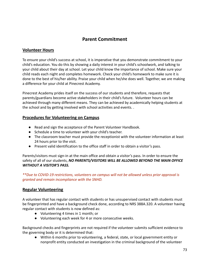# **Parent Commitment**

## **Volunteer Hours**

To ensure your child's success at school, it is imperative that you demonstrate commitment to your child's education. You do this by showing a daily interest in your child's schoolwork, and talking to your child about their day at school. Let your child know the importance of school. Make sure your child reads each night and completes homework. Check your child's homework to make sure it is done to the best of his/her ability. Praise your child when he/she does well. Together, we are making a difference for your child at Pinecrest Academy.

Pinecrest Academy prides itself on the success of our students and therefore, requests that parents/guardians become active stakeholders in their child's future. Volunteer hours can be achieved through many different means. They can be achieved by academically helping students at the school and by getting involved with school activities and events. .

#### **Procedures for Volunteering on Campus**

- Read and sign the acceptance of the Parent Volunteer Handbook.
- Schedule a time to volunteer with your child's teacher.
- The classroom teacher must provide the receptionist with the volunteer information at least 24 hours prior to the visit.
- Present valid identification to the office staff in order to obtain a visitor's pass.

Parents/visitors must sign-in at the main office and obtain a visitor's pass. In order to ensure the safety of all of our students, *NO PARENTS/VISITORS WILL BE ALLOWED BEYOND THE MAIN OFFICE WITHOUT A VISITOR'S PASS.*

*\*\*Due to COVID-19 restrictions, volunteers on campus will not be allowed unless prior approval is granted and remain incompliance with the SNHD.*

## **Regular Volunteering**

A volunteer that has regular contact with students or has unsupervised contact with students must be fingerprinted and have a background check done, according to NRS 388A.320. A volunteer having regular contact with students is now defined as:

- Volunteering 4 times in 1 month; or
- Volunteering each week for 4 or more consecutive weeks.

Background checks and fingerprints are not required if the volunteer submits sufficient evidence to the governing body or it is determined that:

● Within 6 months prior to volunteering, a federal, state, or local government entity or nonprofit entity conducted an investigation in the criminal background of the volunteer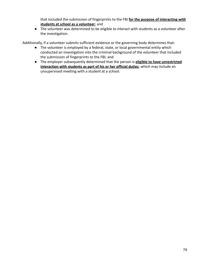that included the submission of fingerprints to the FBI **for the purpose of interacting with students at school as a volunteer**; and

● The volunteer was determined to be eligible to interact with students as a volunteer after the investigation.

Additionally, if a volunteer submits sufficient evidence or the governing body determines that:

- The volunteer is employed by a federal, state, or local governmental entity which conducted an investigation into the criminal background of the volunteer that included the submission of fingerprints to the FBI; and
- The employer subsequently determined that the person is **eligible to have unrestricted interaction with students as part of his or her official duties**, which may include an unsupervised meeting with a student at a school.